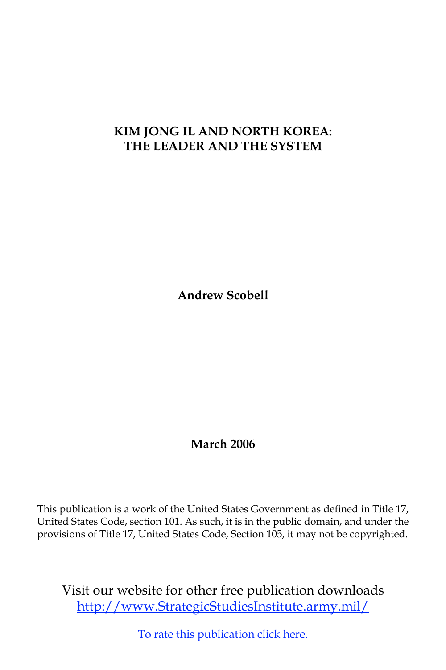### **KIM JONG IL AND NORTH KOREA: THE LEADER AND THE SYSTEM**

**Andrew Scobell**

**March 2006**

This publication is a work of the United States Government as defined in Title 17, United States Code, section 101. As such, it is in the public domain, and under the provisions of Title 17, United States Code, Section 105, it may not be copyrighted.

Visit our website for other free publication downloads <http://www.StrategicStudiesInstitute.army.mil>/

[To rate this publication click here](http://www.strategicstudiesinstitute.army.mil/pubs/display.cfm?pubID=644).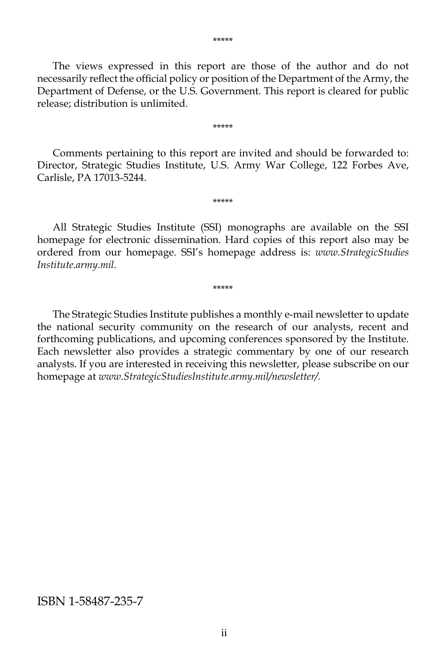The views expressed in this report are those of the author and do not necessarily reflect the official policy or position of the Department of the Army, the Department of Defense, or the U.S. Government. This report is cleared for public release; distribution is unlimited.

Comments pertaining to this report are invited and should be forwarded to: Director, Strategic Studies Institute, U.S. Army War College, 122 Forbes Ave, Carlisle, PA 17013-5244.

\*\*\*\*\*

\*\*\*\*\*

All Strategic Studies Institute (SSI) monographs are available on the SSI homepage for electronic dissemination. Hard copies of this report also may be ordered from our homepage. SSI's homepage address is: *www.StrategicStudies Institute.army.mil.*

\*\*\*\*\*

The Strategic Studies Institute publishes a monthly e-mail newsletter to update the national security community on the research of our analysts, recent and forthcoming publications, and upcoming conferences sponsored by the Institute. Each newsletter also provides a strategic commentary by one of our research analysts. If you are interested in receiving this newsletter, please subscribe on our homepage at *www.StrategicStudiesInstitute.army.mil/newsletter/.*

#### ISBN 1-58487-235-7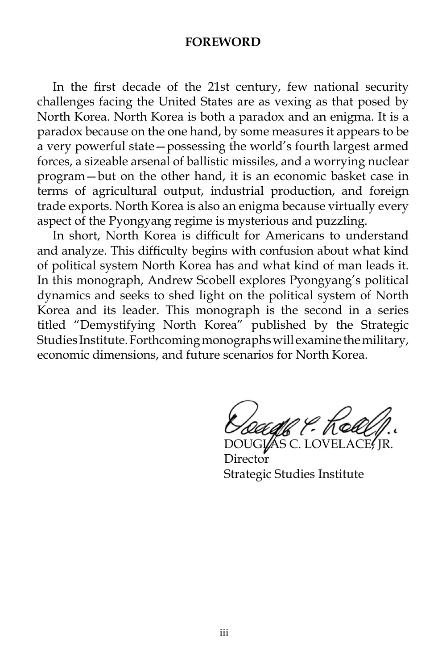#### **FOREWORD**

In the first decade of the 21st century, few national security challenges facing the United States are as vexing as that posed by North Korea. North Korea is both a paradox and an enigma. It is a paradox because on the one hand, by some measures it appears to be a very powerful state—possessing the world's fourth largest armed forces, a sizeable arsenal of ballistic missiles, and a worrying nuclear program—but on the other hand, it is an economic basket case in terms of agricultural output, industrial production, and foreign trade exports. North Korea is also an enigma because virtually every aspect of the Pyongyang regime is mysterious and puzzling.

In short, North Korea is difficult for Americans to understand and analyze. This difficulty begins with confusion about what kind of political system North Korea has and what kind of man leads it. In this monograph, Andrew Scobell explores Pyongyang's political dynamics and seeks to shed light on the political system of North Korea and its leader. This monograph is the second in a series titled "Demystifying North Korea" published by the Strategic Studies Institute. Forthcoming monographs will examine the military, economic dimensions, and future scenarios for North Korea.

**LAS C. LOVELACE, JR.** Director Strategic Studies Institute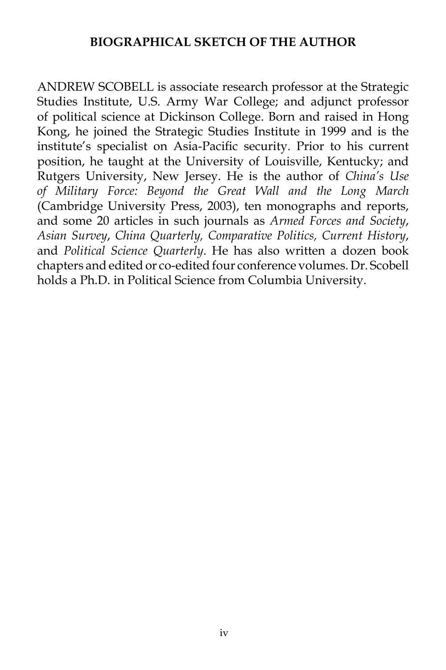### **BIOGRAPHICAL SKETCH OF THE AUTHOR**

ANDREW SCOBELL is associate research professor at the Strategic Studies Institute, U.S. Army War College; and adjunct professor of political science at Dickinson College. Born and raised in Hong Kong, he joined the Strategic Studies Institute in 1999 and is the institute's specialist on Asia-Pacific security. Prior to his current position, he taught at the University of Louisville, Kentucky; and Rutgers University, New Jersey. He is the author of *China's Use of Military Force: Beyond the Great Wall and the Long March* (Cambridge University Press, 2003), ten monographs and reports, and some 20 articles in such journals as *Armed Forces and Society*, *Asian Survey*, *China Quarterly, Comparative Politics, Current History*, and *Political Science Quarterly*. He has also written a dozen book chapters and edited or co-edited four conference volumes. Dr. Scobell holds a Ph.D. in Political Science from Columbia University.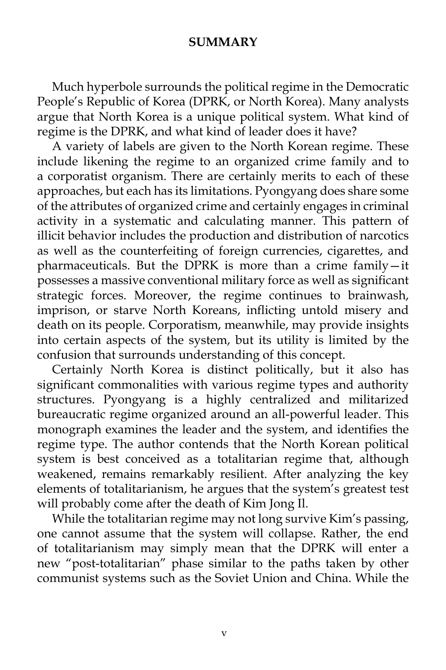### **SUMMARY**

Much hyperbole surrounds the political regime in the Democratic People's Republic of Korea (DPRK, or North Korea). Many analysts argue that North Korea is a unique political system. What kind of regime is the DPRK, and what kind of leader does it have?

A variety of labels are given to the North Korean regime. These include likening the regime to an organized crime family and to a corporatist organism. There are certainly merits to each of these approaches, but each has its limitations. Pyongyang does share some of the attributes of organized crime and certainly engages in criminal activity in a systematic and calculating manner. This pattern of illicit behavior includes the production and distribution of narcotics as well as the counterfeiting of foreign currencies, cigarettes, and pharmaceuticals. But the DPRK is more than a crime family—it possesses a massive conventional military force as well as significant strategic forces. Moreover, the regime continues to brainwash, imprison, or starve North Koreans, inflicting untold misery and death on its people. Corporatism, meanwhile, may provide insights into certain aspects of the system, but its utility is limited by the confusion that surrounds understanding of this concept.

Certainly North Korea is distinct politically, but it also has significant commonalities with various regime types and authority structures. Pyongyang is a highly centralized and militarized bureaucratic regime organized around an all-powerful leader. This monograph examines the leader and the system, and identifies the regime type. The author contends that the North Korean political system is best conceived as a totalitarian regime that, although weakened, remains remarkably resilient. After analyzing the key elements of totalitarianism, he argues that the system's greatest test will probably come after the death of Kim Jong Il.

While the totalitarian regime may not long survive Kim's passing, one cannot assume that the system will collapse. Rather, the end of totalitarianism may simply mean that the DPRK will enter a new "post-totalitarian" phase similar to the paths taken by other communist systems such as the Soviet Union and China. While the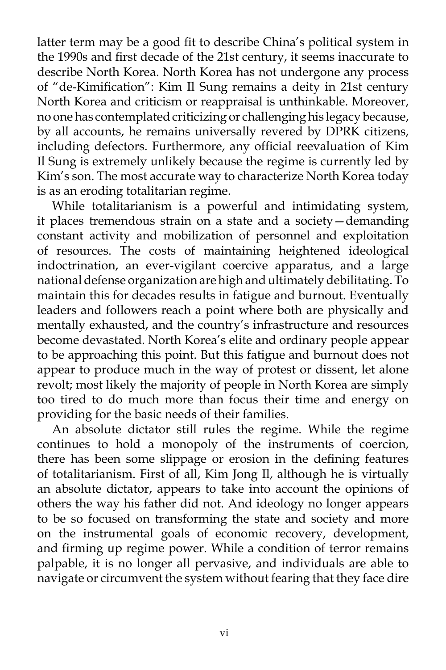latter term may be a good fit to describe China's political system in the 1990s and first decade of the 21st century, it seems inaccurate to describe North Korea. North Korea has not undergone any process of "de-Kimification": Kim Il Sung remains a deity in 21st century North Korea and criticism or reappraisal is unthinkable. Moreover, no one has contemplated criticizing or challenging his legacy because, by all accounts, he remains universally revered by DPRK citizens, including defectors. Furthermore, any official reevaluation of Kim Il Sung is extremely unlikely because the regime is currently led by Kim's son. The most accurate way to characterize North Korea today is as an eroding totalitarian regime.

While totalitarianism is a powerful and intimidating system, it places tremendous strain on a state and a society—demanding constant activity and mobilization of personnel and exploitation of resources. The costs of maintaining heightened ideological indoctrination, an ever-vigilant coercive apparatus, and a large national defense organization are high and ultimately debilitating. To maintain this for decades results in fatigue and burnout. Eventually leaders and followers reach a point where both are physically and mentally exhausted, and the country's infrastructure and resources become devastated. North Korea's elite and ordinary people appear to be approaching this point. But this fatigue and burnout does not appear to produce much in the way of protest or dissent, let alone revolt; most likely the majority of people in North Korea are simply too tired to do much more than focus their time and energy on providing for the basic needs of their families.

An absolute dictator still rules the regime. While the regime continues to hold a monopoly of the instruments of coercion, there has been some slippage or erosion in the defining features of totalitarianism. First of all, Kim Jong Il, although he is virtually an absolute dictator, appears to take into account the opinions of others the way his father did not. And ideology no longer appears to be so focused on transforming the state and society and more on the instrumental goals of economic recovery, development, and firming up regime power. While a condition of terror remains palpable, it is no longer all pervasive, and individuals are able to navigate or circumvent the system without fearing that they face dire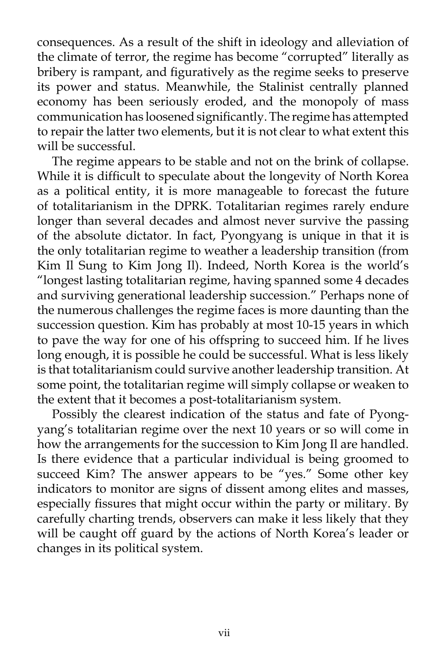consequences. As a result of the shift in ideology and alleviation of the climate of terror, the regime has become "corrupted" literally as bribery is rampant, and figuratively as the regime seeks to preserve its power and status. Meanwhile, the Stalinist centrally planned economy has been seriously eroded, and the monopoly of mass communication has loosened significantly. The regime has attempted to repair the latter two elements, but it is not clear to what extent this will be successful.

The regime appears to be stable and not on the brink of collapse. While it is difficult to speculate about the longevity of North Korea as a political entity, it is more manageable to forecast the future of totalitarianism in the DPRK. Totalitarian regimes rarely endure longer than several decades and almost never survive the passing of the absolute dictator. In fact, Pyongyang is unique in that it is the only totalitarian regime to weather a leadership transition (from Kim Il Sung to Kim Jong Il). Indeed, North Korea is the world's "longest lasting totalitarian regime, having spanned some 4 decades and surviving generational leadership succession." Perhaps none of the numerous challenges the regime faces is more daunting than the succession question. Kim has probably at most 10-15 years in which to pave the way for one of his offspring to succeed him. If he lives long enough, it is possible he could be successful. What is less likely is that totalitarianism could survive another leadership transition. At some point, the totalitarian regime will simply collapse or weaken to the extent that it becomes a post-totalitarianism system.

Possibly the clearest indication of the status and fate of Pyongyang's totalitarian regime over the next 10 years or so will come in how the arrangements for the succession to Kim Jong Il are handled. Is there evidence that a particular individual is being groomed to succeed Kim? The answer appears to be "yes." Some other key indicators to monitor are signs of dissent among elites and masses, especially fissures that might occur within the party or military. By carefully charting trends, observers can make it less likely that they will be caught off guard by the actions of North Korea's leader or changes in its political system.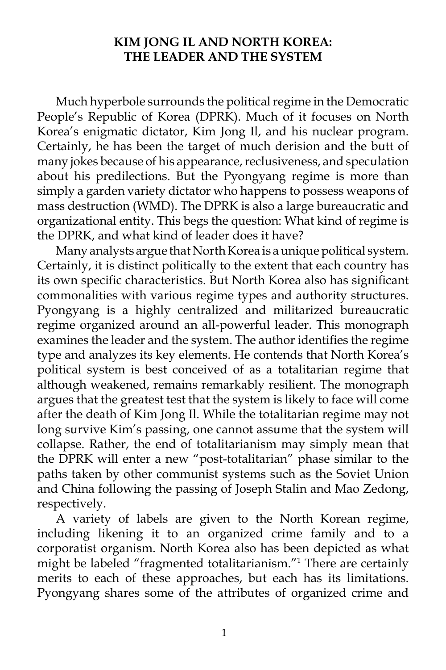### **KIM JONG IL AND NORTH KOREA: THE LEADER AND THE SYSTEM**

Much hyperbole surrounds the political regime in the Democratic People's Republic of Korea (DPRK). Much of it focuses on North Korea's enigmatic dictator, Kim Jong Il, and his nuclear program. Certainly, he has been the target of much derision and the butt of many jokes because of his appearance, reclusiveness, and speculation about his predilections. But the Pyongyang regime is more than simply a garden variety dictator who happens to possess weapons of mass destruction (WMD). The DPRK is also a large bureaucratic and organizational entity. This begs the question: What kind of regime is the DPRK, and what kind of leader does it have?

Many analysts argue that North Korea is a unique political system. Certainly, it is distinct politically to the extent that each country has its own specific characteristics. But North Korea also has significant commonalities with various regime types and authority structures. Pyongyang is a highly centralized and militarized bureaucratic regime organized around an all-powerful leader. This monograph examines the leader and the system. The author identifies the regime type and analyzes its key elements. He contends that North Korea's political system is best conceived of as a totalitarian regime that although weakened, remains remarkably resilient. The monograph argues that the greatest test that the system is likely to face will come after the death of Kim Jong Il. While the totalitarian regime may not long survive Kim's passing, one cannot assume that the system will collapse. Rather, the end of totalitarianism may simply mean that the DPRK will enter a new "post-totalitarian" phase similar to the paths taken by other communist systems such as the Soviet Union and China following the passing of Joseph Stalin and Mao Zedong, respectively.

A variety of labels are given to the North Korean regime, including likening it to an organized crime family and to a corporatist organism. North Korea also has been depicted as what might be labeled "fragmented totalitarianism."1 There are certainly merits to each of these approaches, but each has its limitations. Pyongyang shares some of the attributes of organized crime and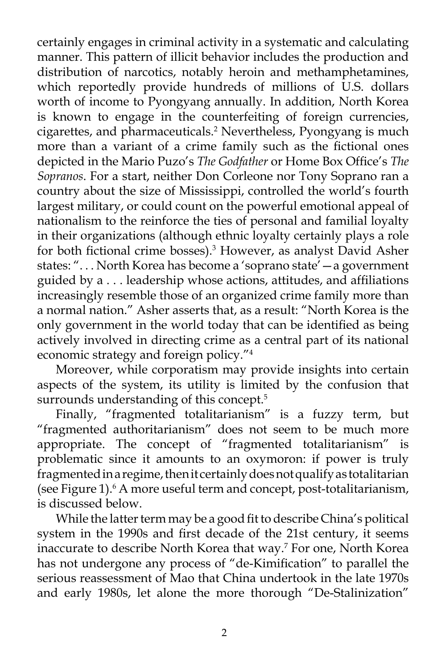certainly engages in criminal activity in a systematic and calculating manner. This pattern of illicit behavior includes the production and distribution of narcotics, notably heroin and methamphetamines, which reportedly provide hundreds of millions of U.S. dollars worth of income to Pyongyang annually. In addition, North Korea is known to engage in the counterfeiting of foreign currencies, cigarettes, and pharmaceuticals.2 Nevertheless, Pyongyang is much more than a variant of a crime family such as the fictional ones depicted in the Mario Puzo's *The Godfather* or Home Box Office's *The Sopranos*. For a start, neither Don Corleone nor Tony Soprano ran a country about the size of Mississippi, controlled the world's fourth largest military, or could count on the powerful emotional appeal of nationalism to the reinforce the ties of personal and familial loyalty in their organizations (although ethnic loyalty certainly plays a role for both fictional crime bosses).<sup>3</sup> However, as analyst David Asher states: ". . . North Korea has become a 'soprano state'—a government guided by a . . . leadership whose actions, attitudes, and affiliations increasingly resemble those of an organized crime family more than a normal nation." Asher asserts that, as a result: "North Korea is the only government in the world today that can be identified as being actively involved in directing crime as a central part of its national economic strategy and foreign policy."4

Moreover, while corporatism may provide insights into certain aspects of the system, its utility is limited by the confusion that surrounds understanding of this concept.<sup>5</sup>

Finally, "fragmented totalitarianism" is a fuzzy term, but "fragmented authoritarianism" does not seem to be much more appropriate. The concept of "fragmented totalitarianism" is problematic since it amounts to an oxymoron: if power is truly fragmented in a regime, then it certainly does not qualify as totalitarian (see Figure 1).<sup>6</sup> A more useful term and concept, post-totalitarianism, is discussed below.

While the latter term may be a good fit to describe China's political system in the 1990s and first decade of the 21st century, it seems inaccurate to describe North Korea that way.7 For one, North Korea has not undergone any process of "de-Kimification" to parallel the serious reassessment of Mao that China undertook in the late 1970s and early 1980s, let alone the more thorough "De-Stalinization"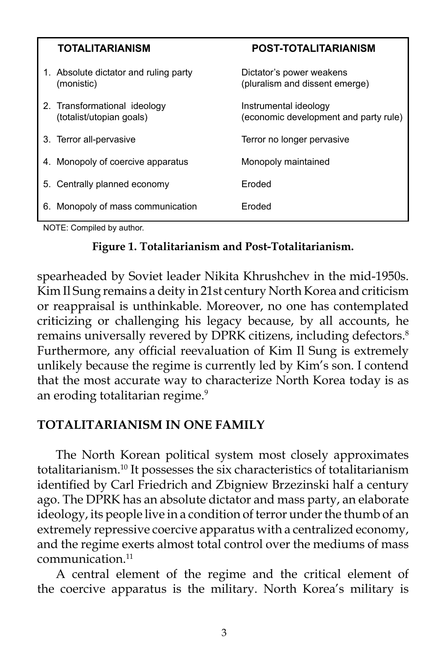| TOTALITARIANISM                                          | <b>POST-TOTALITARIANISM</b>                                    |
|----------------------------------------------------------|----------------------------------------------------------------|
| 1. Absolute dictator and ruling party<br>(monistic)      | Dictator's power weakens<br>(pluralism and dissent emerge)     |
| 2. Transformational ideology<br>(totalist/utopian goals) | Instrumental ideology<br>(economic development and party rule) |
| 3. Terror all-pervasive                                  | Terror no longer pervasive                                     |
| 4. Monopoly of coercive apparatus                        | Monopoly maintained                                            |
| 5. Centrally planned economy                             | Froded                                                         |
| 6. Monopoly of mass communication                        | Eroded                                                         |

NOTE: Compiled by author.

### **Figure 1. Totalitarianism and Post-Totalitarianism.**

spearheaded by Soviet leader Nikita Khrushchev in the mid-1950s. Kim Il Sung remains a deity in 21st century North Korea and criticism or reappraisal is unthinkable. Moreover, no one has contemplated criticizing or challenging his legacy because, by all accounts, he remains universally revered by DPRK citizens, including defectors.<sup>8</sup> Furthermore, any official reevaluation of Kim Il Sung is extremely unlikely because the regime is currently led by Kim's son. I contend that the most accurate way to characterize North Korea today is as an eroding totalitarian regime.<sup>9</sup>

## **TOTALITARIANISM IN ONE FAMILY**

The North Korean political system most closely approximates totalitarianism.10 It possesses the six characteristics of totalitarianism identified by Carl Friedrich and Zbigniew Brzezinski half a century ago. The DPRK has an absolute dictator and mass party, an elaborate ideology, its people live in a condition of terror under the thumb of an extremely repressive coercive apparatus with a centralized economy, and the regime exerts almost total control over the mediums of mass communication.11

A central element of the regime and the critical element of the coercive apparatus is the military. North Korea's military is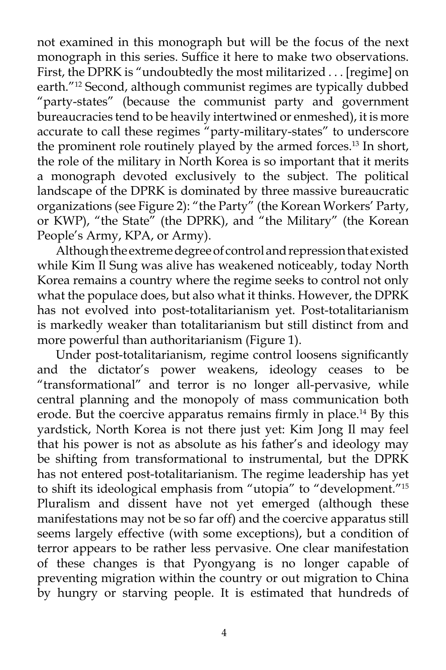not examined in this monograph but will be the focus of the next monograph in this series. Suffice it here to make two observations. First, the DPRK is "undoubtedly the most militarized . . . [regime] on earth."12 Second, although communist regimes are typically dubbed "party-states" (because the communist party and government bureaucracies tend to be heavily intertwined or enmeshed), it is more accurate to call these regimes "party-military-states" to underscore the prominent role routinely played by the armed forces.13 In short, the role of the military in North Korea is so important that it merits a monograph devoted exclusively to the subject. The political landscape of the DPRK is dominated by three massive bureaucratic organizations (see Figure 2): "the Party" (the Korean Workers' Party, or KWP), "the State" (the DPRK), and "the Military" (the Korean People's Army, KPA, or Army).

Although the extreme degree of control and repression that existed while Kim Il Sung was alive has weakened noticeably, today North Korea remains a country where the regime seeks to control not only what the populace does, but also what it thinks. However, the DPRK has not evolved into post-totalitarianism yet. Post-totalitarianism is markedly weaker than totalitarianism but still distinct from and more powerful than authoritarianism (Figure 1).

Under post-totalitarianism, regime control loosens significantly and the dictator's power weakens, ideology ceases to be "transformational" and terror is no longer all-pervasive, while central planning and the monopoly of mass communication both erode. But the coercive apparatus remains firmly in place.<sup>14</sup> By this yardstick, North Korea is not there just yet: Kim Jong Il may feel that his power is not as absolute as his father's and ideology may be shifting from transformational to instrumental, but the DPRK has not entered post-totalitarianism. The regime leadership has yet to shift its ideological emphasis from "utopia" to "development."15 Pluralism and dissent have not yet emerged (although these manifestations may not be so far off) and the coercive apparatus still seems largely effective (with some exceptions), but a condition of terror appears to be rather less pervasive. One clear manifestation of these changes is that Pyongyang is no longer capable of preventing migration within the country or out migration to China by hungry or starving people. It is estimated that hundreds of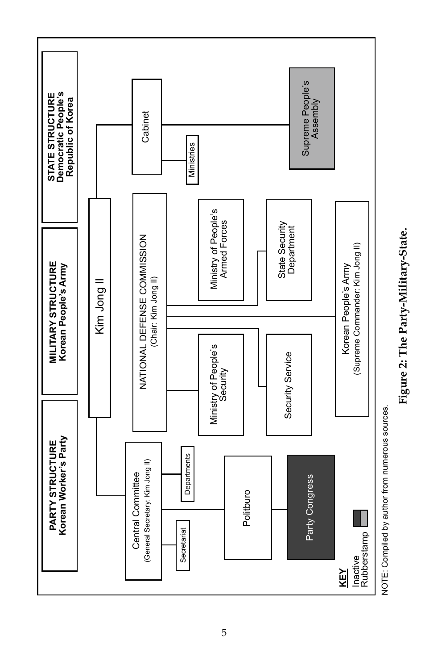

Figure 2: The Party-Military-State. **Figure 2: The Party-Military-State.**

NOTE: Compiled by author from numerous sources. NOTE: Compiled by author from numerous sources.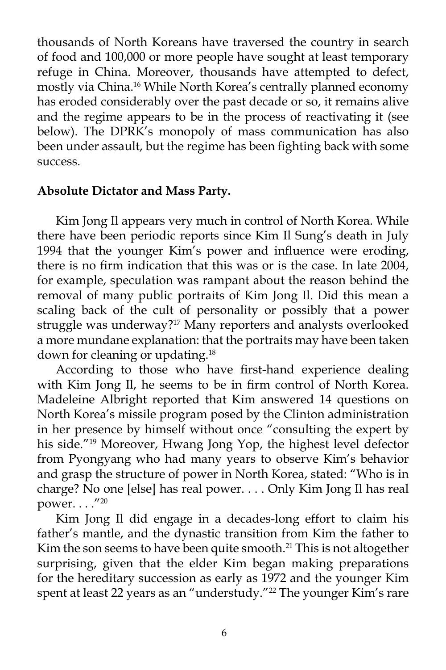thousands of North Koreans have traversed the country in search of food and 100,000 or more people have sought at least temporary refuge in China. Moreover, thousands have attempted to defect, mostly via China.16 While North Korea's centrally planned economy has eroded considerably over the past decade or so, it remains alive and the regime appears to be in the process of reactivating it (see below). The DPRK's monopoly of mass communication has also been under assault, but the regime has been fighting back with some success.

### **Absolute Dictator and Mass Party.**

Kim Jong Il appears very much in control of North Korea. While there have been periodic reports since Kim Il Sung's death in July 1994 that the younger Kim's power and influence were eroding, there is no firm indication that this was or is the case. In late 2004, for example, speculation was rampant about the reason behind the removal of many public portraits of Kim Jong Il. Did this mean a scaling back of the cult of personality or possibly that a power struggle was underway?<sup>17</sup> Many reporters and analysts overlooked a more mundane explanation: that the portraits may have been taken down for cleaning or updating.18

According to those who have first-hand experience dealing with Kim Jong Il, he seems to be in firm control of North Korea. Madeleine Albright reported that Kim answered 14 questions on North Korea's missile program posed by the Clinton administration in her presence by himself without once "consulting the expert by his side."19 Moreover, Hwang Jong Yop, the highest level defector from Pyongyang who had many years to observe Kim's behavior and grasp the structure of power in North Korea, stated: "Who is in charge? No one [else] has real power. . . . Only Kim Jong Il has real power. . . ."20

Kim Jong Il did engage in a decades-long effort to claim his father's mantle, and the dynastic transition from Kim the father to Kim the son seems to have been quite smooth.<sup>21</sup> This is not altogether surprising, given that the elder Kim began making preparations for the hereditary succession as early as 1972 and the younger Kim spent at least 22 years as an "understudy."<sup>22</sup> The younger Kim's rare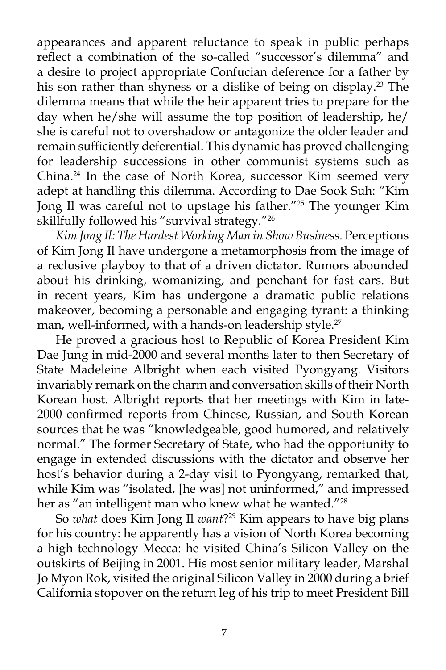appearances and apparent reluctance to speak in public perhaps reflect a combination of the so-called "successor's dilemma" and a desire to project appropriate Confucian deference for a father by his son rather than shyness or a dislike of being on display.<sup>23</sup> The dilemma means that while the heir apparent tries to prepare for the day when he/she will assume the top position of leadership, he/ she is careful not to overshadow or antagonize the older leader and remain sufficiently deferential. This dynamic has proved challenging for leadership successions in other communist systems such as China.24 In the case of North Korea, successor Kim seemed very adept at handling this dilemma. According to Dae Sook Suh: "Kim Jong Il was careful not to upstage his father."25 The younger Kim skillfully followed his "survival strategy."<sup>26</sup>

*Kim Jong Il: The Hardest Working Man in Show Business*. Perceptions of Kim Jong Il have undergone a metamorphosis from the image of a reclusive playboy to that of a driven dictator. Rumors abounded about his drinking, womanizing, and penchant for fast cars. But in recent years, Kim has undergone a dramatic public relations makeover, becoming a personable and engaging tyrant: a thinking man, well-informed, with a hands-on leadership style.<sup>27</sup>

He proved a gracious host to Republic of Korea President Kim Dae Jung in mid-2000 and several months later to then Secretary of State Madeleine Albright when each visited Pyongyang. Visitors invariably remark on the charm and conversation skills of their North Korean host. Albright reports that her meetings with Kim in late-2000 confirmed reports from Chinese, Russian, and South Korean sources that he was "knowledgeable, good humored, and relatively normal." The former Secretary of State, who had the opportunity to engage in extended discussions with the dictator and observe her host's behavior during a 2-day visit to Pyongyang, remarked that, while Kim was "isolated, [he was] not uninformed," and impressed her as "an intelligent man who knew what he wanted."<sup>28</sup>

So *what* does Kim Jong Il *want*?29 Kim appears to have big plans for his country: he apparently has a vision of North Korea becoming a high technology Mecca: he visited China's Silicon Valley on the outskirts of Beijing in 2001. His most senior military leader, Marshal Jo Myon Rok, visited the original Silicon Valley in 2000 during a brief California stopover on the return leg of his trip to meet President Bill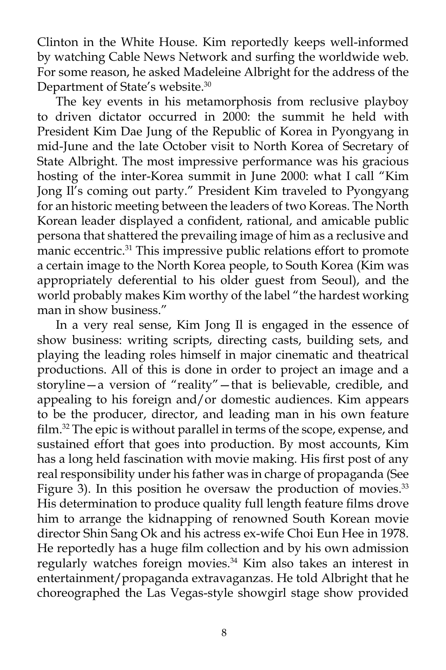Clinton in the White House. Kim reportedly keeps well-informed by watching Cable News Network and surfing the worldwide web. For some reason, he asked Madeleine Albright for the address of the Department of State's website.30

The key events in his metamorphosis from reclusive playboy to driven dictator occurred in 2000: the summit he held with President Kim Dae Jung of the Republic of Korea in Pyongyang in mid-June and the late October visit to North Korea of Secretary of State Albright. The most impressive performance was his gracious hosting of the inter-Korea summit in June 2000: what I call "Kim Jong Il's coming out party." President Kim traveled to Pyongyang for an historic meeting between the leaders of two Koreas. The North Korean leader displayed a confident, rational, and amicable public persona that shattered the prevailing image of him as a reclusive and manic eccentric.<sup>31</sup> This impressive public relations effort to promote a certain image to the North Korea people, to South Korea (Kim was appropriately deferential to his older guest from Seoul), and the world probably makes Kim worthy of the label "the hardest working man in show business."

In a very real sense, Kim Jong Il is engaged in the essence of show business: writing scripts, directing casts, building sets, and playing the leading roles himself in major cinematic and theatrical productions. All of this is done in order to project an image and a storyline—a version of "reality"—that is believable, credible, and appealing to his foreign and/or domestic audiences. Kim appears to be the producer, director, and leading man in his own feature film.<sup>32</sup> The epic is without parallel in terms of the scope, expense, and sustained effort that goes into production. By most accounts, Kim has a long held fascination with movie making. His first post of any real responsibility under his father was in charge of propaganda (See Figure 3). In this position he oversaw the production of movies. $33$ His determination to produce quality full length feature films drove him to arrange the kidnapping of renowned South Korean movie director Shin Sang Ok and his actress ex-wife Choi Eun Hee in 1978. He reportedly has a huge film collection and by his own admission regularly watches foreign movies.<sup>34</sup> Kim also takes an interest in entertainment/propaganda extravaganzas. He told Albright that he choreographed the Las Vegas-style showgirl stage show provided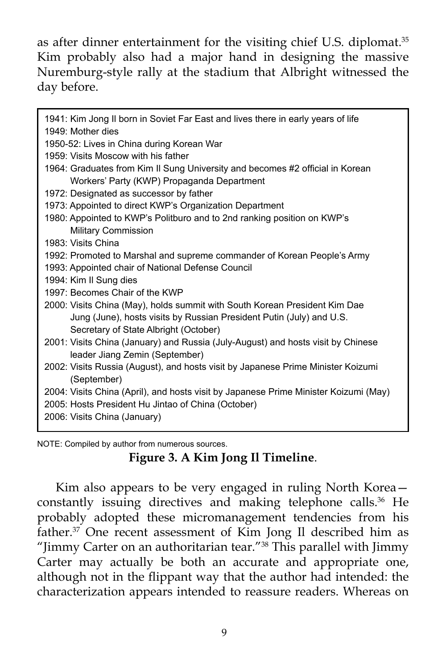as after dinner entertainment for the visiting chief U.S. diplomat.<sup>35</sup> Kim probably also had a major hand in designing the massive Nuremburg-style rally at the stadium that Albright witnessed the day before.

1941: Kim Jong Il born in Soviet Far East and lives there in early years of life 1949: Mother dies 1950-52: Lives in China during Korean War 1959: Visits Moscow with his father 1964: Graduates from Kim Il Sung University and becomes #2 official in Korean Workers' Party (KWP) Propaganda Department 1972: Designated as successor by father 1973: Appointed to direct KWP's Organization Department 1980: Appointed to KWP's Politburo and to 2nd ranking position on KWP's Military Commission 1983: Visits China 1992: Promoted to Marshal and supreme commander of Korean People's Army 1993: Appointed chair of National Defense Council 1994: Kim Il Sung dies 1997: Becomes Chair of the KWP 2000: Visits China (May), holds summit with South Korean President Kim Dae Jung (June), hosts visits by Russian President Putin (July) and U.S. Secretary of State Albright (October) 2001: Visits China (January) and Russia (July-August) and hosts visit by Chinese leader Jiang Zemin (September) 2002: Visits Russia (August), and hosts visit by Japanese Prime Minister Koizumi (September) 2004: Visits China (April), and hosts visit by Japanese Prime Minister Koizumi (May) 2005: Hosts President Hu Jintao of China (October) 2006: Visits China (January)

NOTE: Compiled by author from numerous sources.

# **Figure 3. A Kim Jong Il Timeline**.

Kim also appears to be very engaged in ruling North Korea constantly issuing directives and making telephone calls.<sup>36</sup> He probably adopted these micromanagement tendencies from his father.<sup>37</sup> One recent assessment of Kim Jong Il described him as "Jimmy Carter on an authoritarian tear."38 This parallel with Jimmy Carter may actually be both an accurate and appropriate one, although not in the flippant way that the author had intended: the characterization appears intended to reassure readers. Whereas on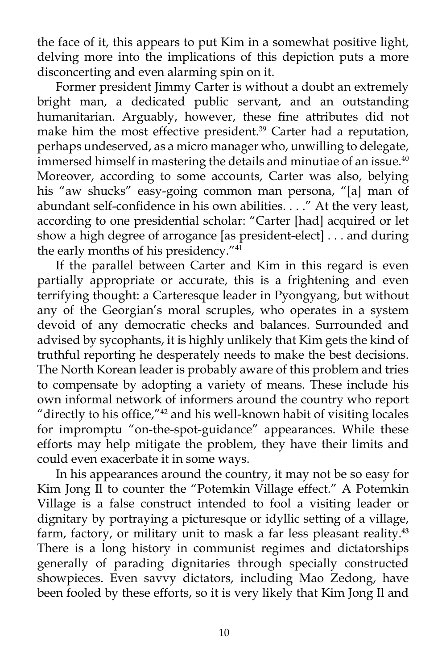the face of it, this appears to put Kim in a somewhat positive light, delving more into the implications of this depiction puts a more disconcerting and even alarming spin on it.

Former president Jimmy Carter is without a doubt an extremely bright man, a dedicated public servant, and an outstanding humanitarian. Arguably, however, these fine attributes did not make him the most effective president.<sup>39</sup> Carter had a reputation, perhaps undeserved, as a micro manager who, unwilling to delegate, immersed himself in mastering the details and minutiae of an issue.<sup>40</sup> Moreover, according to some accounts, Carter was also, belying his "aw shucks" easy-going common man persona, "[a] man of abundant self-confidence in his own abilities. . . ." At the very least, according to one presidential scholar: "Carter [had] acquired or let show a high degree of arrogance [as president-elect] . . . and during the early months of his presidency."<sup>41</sup>

If the parallel between Carter and Kim in this regard is even partially appropriate or accurate, this is a frightening and even terrifying thought: a Carteresque leader in Pyongyang, but without any of the Georgian's moral scruples, who operates in a system devoid of any democratic checks and balances. Surrounded and advised by sycophants, it is highly unlikely that Kim gets the kind of truthful reporting he desperately needs to make the best decisions. The North Korean leader is probably aware of this problem and tries to compensate by adopting a variety of means. These include his own informal network of informers around the country who report "directly to his office,"42 and his well-known habit of visiting locales for impromptu "on-the-spot-guidance" appearances. While these efforts may help mitigate the problem, they have their limits and could even exacerbate it in some ways.

In his appearances around the country, it may not be so easy for Kim Jong Il to counter the "Potemkin Village effect." A Potemkin Village is a false construct intended to fool a visiting leader or dignitary by portraying a picturesque or idyllic setting of a village, farm, factory, or military unit to mask a far less pleasant reality.**<sup>43</sup>** There is a long history in communist regimes and dictatorships generally of parading dignitaries through specially constructed showpieces. Even savvy dictators, including Mao Zedong, have been fooled by these efforts, so it is very likely that Kim Jong Il and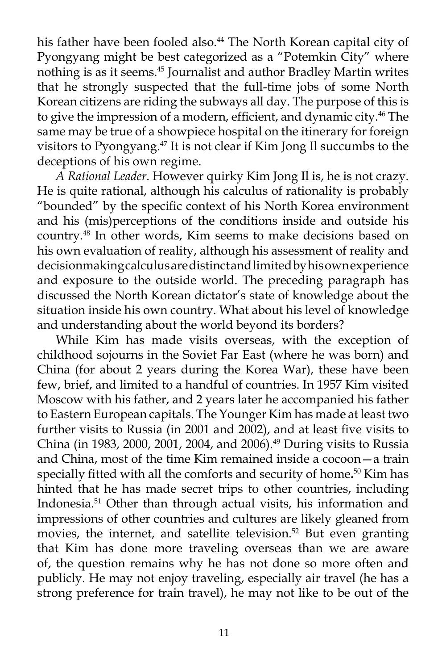his father have been fooled also.<sup>44</sup> The North Korean capital city of Pyongyang might be best categorized as a "Potemkin City" where nothing is as it seems.45 Journalist and author Bradley Martin writes that he strongly suspected that the full-time jobs of some North Korean citizens are riding the subways all day. The purpose of this is to give the impression of a modern, efficient, and dynamic city.<sup>46</sup> The same may be true of a showpiece hospital on the itinerary for foreign visitors to Pyongyang.47 It is not clear if Kim Jong Il succumbs to the deceptions of his own regime.

*A Rational Leader*. However quirky Kim Jong Il is, he is not crazy. He is quite rational, although his calculus of rationality is probably "bounded" by the specific context of his North Korea environment and his (mis)perceptions of the conditions inside and outside his country.48 In other words, Kim seems to make decisions based on his own evaluation of reality, although his assessment of reality and decisionmaking calculus are distinct and limited by his own experience and exposure to the outside world. The preceding paragraph has discussed the North Korean dictator's state of knowledge about the situation inside his own country. What about his level of knowledge and understanding about the world beyond its borders?

While Kim has made visits overseas, with the exception of childhood sojourns in the Soviet Far East (where he was born) and China (for about 2 years during the Korea War), these have been few, brief, and limited to a handful of countries. In 1957 Kim visited Moscow with his father, and 2 years later he accompanied his father to Eastern European capitals. The Younger Kim has made at least two further visits to Russia (in 2001 and 2002), and at least five visits to China (in 1983, 2000, 2001, 2004, and 2006).<sup>49</sup> During visits to Russia and China, most of the time Kim remained inside a cocoon—a train specially fitted with all the comforts and security of home**.** <sup>50</sup> Kim has hinted that he has made secret trips to other countries, including Indonesia.51 Other than through actual visits, his information and impressions of other countries and cultures are likely gleaned from movies, the internet, and satellite television.<sup>52</sup> But even granting that Kim has done more traveling overseas than we are aware of, the question remains why he has not done so more often and publicly. He may not enjoy traveling, especially air travel (he has a strong preference for train travel), he may not like to be out of the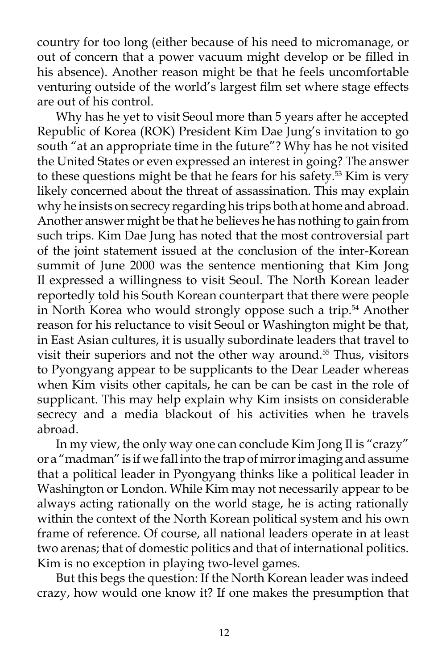country for too long (either because of his need to micromanage, or out of concern that a power vacuum might develop or be filled in his absence). Another reason might be that he feels uncomfortable venturing outside of the world's largest film set where stage effects are out of his control.

Why has he yet to visit Seoul more than 5 years after he accepted Republic of Korea (ROK) President Kim Dae Jung's invitation to go south "at an appropriate time in the future"? Why has he not visited the United States or even expressed an interest in going? The answer to these questions might be that he fears for his safety.<sup>53</sup> Kim is very likely concerned about the threat of assassination. This may explain why he insists on secrecy regarding his trips both at home and abroad. Another answer might be that he believes he has nothing to gain from such trips. Kim Dae Jung has noted that the most controversial part of the joint statement issued at the conclusion of the inter-Korean summit of June 2000 was the sentence mentioning that Kim Jong Il expressed a willingness to visit Seoul. The North Korean leader reportedly told his South Korean counterpart that there were people in North Korea who would strongly oppose such a trip.<sup>54</sup> Another reason for his reluctance to visit Seoul or Washington might be that, in East Asian cultures, it is usually subordinate leaders that travel to visit their superiors and not the other way around.<sup>55</sup> Thus, visitors to Pyongyang appear to be supplicants to the Dear Leader whereas when Kim visits other capitals, he can be can be cast in the role of supplicant. This may help explain why Kim insists on considerable secrecy and a media blackout of his activities when he travels abroad.

In my view, the only way one can conclude Kim Jong Il is "crazy" or a "madman" is if we fall into the trap of mirror imaging and assume that a political leader in Pyongyang thinks like a political leader in Washington or London. While Kim may not necessarily appear to be always acting rationally on the world stage, he is acting rationally within the context of the North Korean political system and his own frame of reference. Of course, all national leaders operate in at least two arenas; that of domestic politics and that of international politics. Kim is no exception in playing two-level games.

But this begs the question: If the North Korean leader was indeed crazy, how would one know it? If one makes the presumption that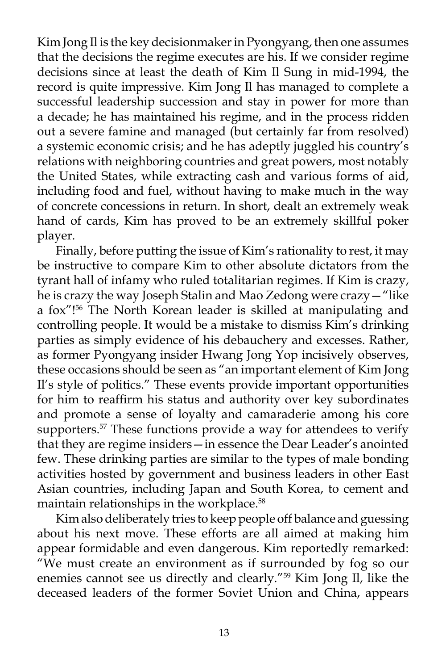Kim Jong Il is the key decisionmaker in Pyongyang, then one assumes that the decisions the regime executes are his. If we consider regime decisions since at least the death of Kim Il Sung in mid-1994, the record is quite impressive. Kim Jong Il has managed to complete a successful leadership succession and stay in power for more than a decade; he has maintained his regime, and in the process ridden out a severe famine and managed (but certainly far from resolved) a systemic economic crisis; and he has adeptly juggled his country's relations with neighboring countries and great powers, most notably the United States, while extracting cash and various forms of aid, including food and fuel, without having to make much in the way of concrete concessions in return. In short, dealt an extremely weak hand of cards, Kim has proved to be an extremely skillful poker player.

Finally, before putting the issue of Kim's rationality to rest, it may be instructive to compare Kim to other absolute dictators from the tyrant hall of infamy who ruled totalitarian regimes. If Kim is crazy, he is crazy the way Joseph Stalin and Mao Zedong were crazy—"like a fox"!56 The North Korean leader is skilled at manipulating and controlling people. It would be a mistake to dismiss Kim's drinking parties as simply evidence of his debauchery and excesses. Rather, as former Pyongyang insider Hwang Jong Yop incisively observes, these occasions should be seen as "an important element of Kim Jong Il's style of politics." These events provide important opportunities for him to reaffirm his status and authority over key subordinates and promote a sense of loyalty and camaraderie among his core supporters.<sup>57</sup> These functions provide a way for attendees to verify that they are regime insiders—in essence the Dear Leader's anointed few. These drinking parties are similar to the types of male bonding activities hosted by government and business leaders in other East Asian countries, including Japan and South Korea, to cement and maintain relationships in the workplace.<sup>58</sup>

Kim also deliberately tries to keep people off balance and guessing about his next move. These efforts are all aimed at making him appear formidable and even dangerous. Kim reportedly remarked: "We must create an environment as if surrounded by fog so our enemies cannot see us directly and clearly."59 Kim Jong Il, like the deceased leaders of the former Soviet Union and China, appears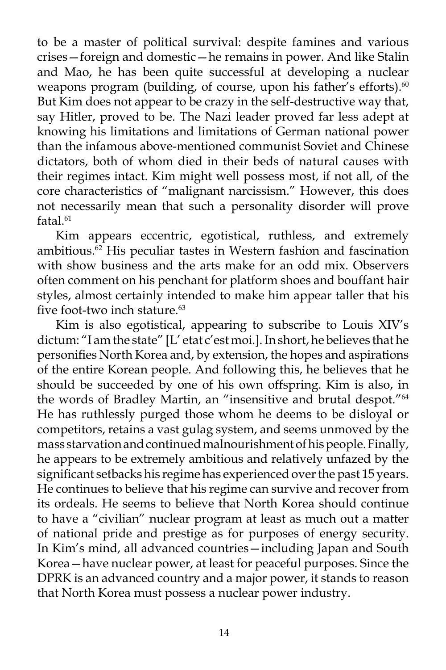to be a master of political survival: despite famines and various crises—foreign and domestic—he remains in power. And like Stalin and Mao, he has been quite successful at developing a nuclear weapons program (building, of course, upon his father's efforts).<sup>60</sup> But Kim does not appear to be crazy in the self-destructive way that, say Hitler, proved to be. The Nazi leader proved far less adept at knowing his limitations and limitations of German national power than the infamous above-mentioned communist Soviet and Chinese dictators, both of whom died in their beds of natural causes with their regimes intact. Kim might well possess most, if not all, of the core characteristics of "malignant narcissism." However, this does not necessarily mean that such a personality disorder will prove fatal. $61$ 

Kim appears eccentric, egotistical, ruthless, and extremely ambitious.<sup>62</sup> His peculiar tastes in Western fashion and fascination with show business and the arts make for an odd mix. Observers often comment on his penchant for platform shoes and bouffant hair styles, almost certainly intended to make him appear taller that his five foot-two inch stature.<sup>63</sup>

Kim is also egotistical, appearing to subscribe to Louis XIV's dictum: "I am the state" [L' etat c'est moi.]. In short, he believes that he personifies North Korea and, by extension, the hopes and aspirations of the entire Korean people. And following this, he believes that he should be succeeded by one of his own offspring. Kim is also, in the words of Bradley Martin, an "insensitive and brutal despot."64 He has ruthlessly purged those whom he deems to be disloyal or competitors, retains a vast gulag system, and seems unmoved by the mass starvation and continued malnourishment of his people. Finally, he appears to be extremely ambitious and relatively unfazed by the significant setbacks his regime has experienced over the past 15 years. He continues to believe that his regime can survive and recover from its ordeals. He seems to believe that North Korea should continue to have a "civilian" nuclear program at least as much out a matter of national pride and prestige as for purposes of energy security. In Kim's mind, all advanced countries—including Japan and South Korea—have nuclear power, at least for peaceful purposes. Since the DPRK is an advanced country and a major power, it stands to reason that North Korea must possess a nuclear power industry.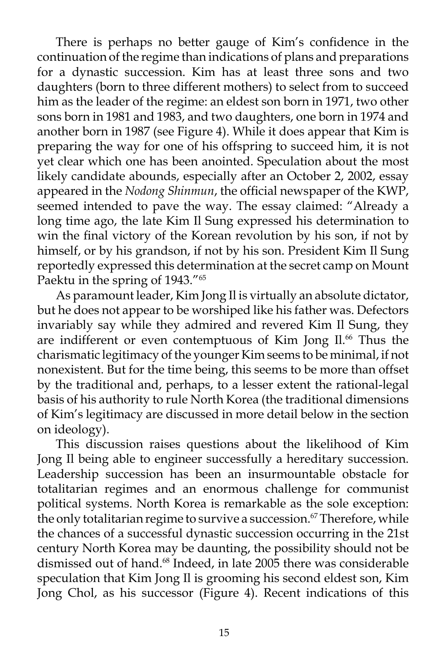There is perhaps no better gauge of Kim's confidence in the continuation of the regime than indications of plans and preparations for a dynastic succession. Kim has at least three sons and two daughters (born to three different mothers) to select from to succeed him as the leader of the regime: an eldest son born in 1971, two other sons born in 1981 and 1983, and two daughters, one born in 1974 and another born in 1987 (see Figure 4). While it does appear that Kim is preparing the way for one of his offspring to succeed him, it is not yet clear which one has been anointed. Speculation about the most likely candidate abounds, especially after an October 2, 2002, essay appeared in the *Nodong Shinmun*, the official newspaper of the KWP, seemed intended to pave the way. The essay claimed: "Already a long time ago, the late Kim Il Sung expressed his determination to win the final victory of the Korean revolution by his son, if not by himself, or by his grandson, if not by his son. President Kim Il Sung reportedly expressed this determination at the secret camp on Mount Paektu in the spring of 1943."<sup>65</sup>

As paramount leader, Kim Jong Il is virtually an absolute dictator, but he does not appear to be worshiped like his father was. Defectors invariably say while they admired and revered Kim Il Sung, they are indifferent or even contemptuous of Kim Jong Il.<sup>66</sup> Thus the charismatic legitimacy of the younger Kim seems to be minimal, if not nonexistent. But for the time being, this seems to be more than offset by the traditional and, perhaps, to a lesser extent the rational-legal basis of his authority to rule North Korea (the traditional dimensions of Kim's legitimacy are discussed in more detail below in the section on ideology).

This discussion raises questions about the likelihood of Kim Jong Il being able to engineer successfully a hereditary succession. Leadership succession has been an insurmountable obstacle for totalitarian regimes and an enormous challenge for communist political systems. North Korea is remarkable as the sole exception: the only totalitarian regime to survive a succession.<sup>67</sup> Therefore, while the chances of a successful dynastic succession occurring in the 21st century North Korea may be daunting, the possibility should not be dismissed out of hand.<sup>68</sup> Indeed, in late 2005 there was considerable speculation that Kim Jong Il is grooming his second eldest son, Kim Jong Chol, as his successor (Figure 4). Recent indications of this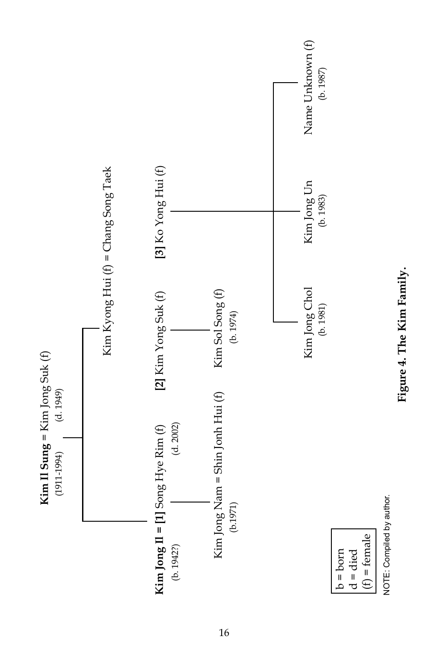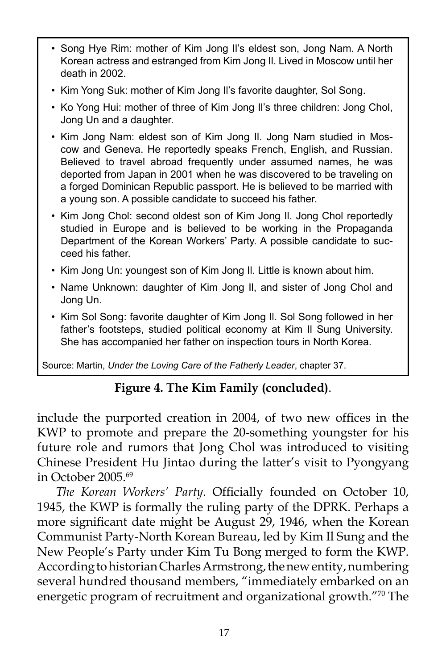- Song Hye Rim: mother of Kim Jong II's eldest son, Jong Nam. A North Korean actress and estranged from Kim Jong Il. Lived in Moscow until her death in 2002.
- Kim Yong Suk: mother of Kim Jong II's favorite daughter, Sol Song.
- Ko Yong Hui: mother of three of Kim Jong II's three children: Jong Chol, Jong Un and a daughter.
- • Kim Jong Nam: eldest son of Kim Jong Il. Jong Nam studied in Moscow and Geneva. He reportedly speaks French, English, and Russian. Believed to travel abroad frequently under assumed names, he was deported from Japan in 2001 when he was discovered to be traveling on a forged Dominican Republic passport. He is believed to be married with a young son. A possible candidate to succeed his father.
- Kim Jong Chol: second oldest son of Kim Jong II. Jong Chol reportedly studied in Europe and is believed to be working in the Propaganda Department of the Korean Workers' Party. A possible candidate to succeed his father.
- Kim Jong Un: youngest son of Kim Jong II. Little is known about him.
- Name Unknown: daughter of Kim Jong II, and sister of Jong Chol and Jong Un.
- • Kim Sol Song: favorite daughter of Kim Jong Il. Sol Song followed in her father's footsteps, studied political economy at Kim Il Sung University. She has accompanied her father on inspection tours in North Korea.

Source: Martin, *Under the Loving Care of the Fatherly Leader*, chapter 37.

## **Figure 4. The Kim Family (concluded)**.

include the purported creation in 2004, of two new offices in the KWP to promote and prepare the 20-something youngster for his future role and rumors that Jong Chol was introduced to visiting Chinese President Hu Jintao during the latter's visit to Pyongyang in October 2005.69

*The Korean Workers' Party*. Officially founded on October 10, 1945, the KWP is formally the ruling party of the DPRK. Perhaps a more significant date might be August 29, 1946, when the Korean Communist Party-North Korean Bureau, led by Kim Il Sung and the New People's Party under Kim Tu Bong merged to form the KWP. According to historian Charles Armstrong, the new entity, numbering several hundred thousand members, "immediately embarked on an energetic program of recruitment and organizational growth."70 The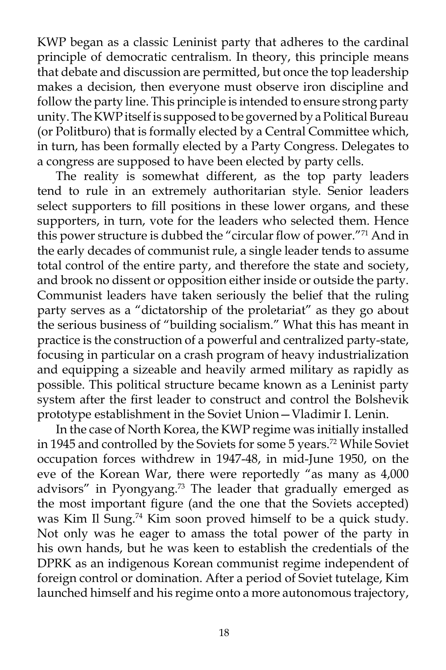KWP began as a classic Leninist party that adheres to the cardinal principle of democratic centralism. In theory, this principle means that debate and discussion are permitted, but once the top leadership makes a decision, then everyone must observe iron discipline and follow the party line. This principle is intended to ensure strong party unity. The KWP itself is supposed to be governed by a Political Bureau (or Politburo) that is formally elected by a Central Committee which, in turn, has been formally elected by a Party Congress. Delegates to a congress are supposed to have been elected by party cells.

The reality is somewhat different, as the top party leaders tend to rule in an extremely authoritarian style. Senior leaders select supporters to fill positions in these lower organs, and these supporters, in turn, vote for the leaders who selected them. Hence this power structure is dubbed the "circular flow of power."71 And in the early decades of communist rule, a single leader tends to assume total control of the entire party, and therefore the state and society, and brook no dissent or opposition either inside or outside the party. Communist leaders have taken seriously the belief that the ruling party serves as a "dictatorship of the proletariat" as they go about the serious business of "building socialism." What this has meant in practice is the construction of a powerful and centralized party-state, focusing in particular on a crash program of heavy industrialization and equipping a sizeable and heavily armed military as rapidly as possible. This political structure became known as a Leninist party system after the first leader to construct and control the Bolshevik prototype establishment in the Soviet Union—Vladimir I. Lenin.

In the case of North Korea, the KWP regime was initially installed in 1945 and controlled by the Soviets for some 5 years.<sup>72</sup> While Soviet occupation forces withdrew in 1947-48, in mid-June 1950, on the eve of the Korean War, there were reportedly "as many as 4,000 advisors" in Pyongyang.73 The leader that gradually emerged as the most important figure (and the one that the Soviets accepted) was Kim Il Sung.74 Kim soon proved himself to be a quick study. Not only was he eager to amass the total power of the party in his own hands, but he was keen to establish the credentials of the DPRK as an indigenous Korean communist regime independent of foreign control or domination. After a period of Soviet tutelage, Kim launched himself and his regime onto a more autonomous trajectory,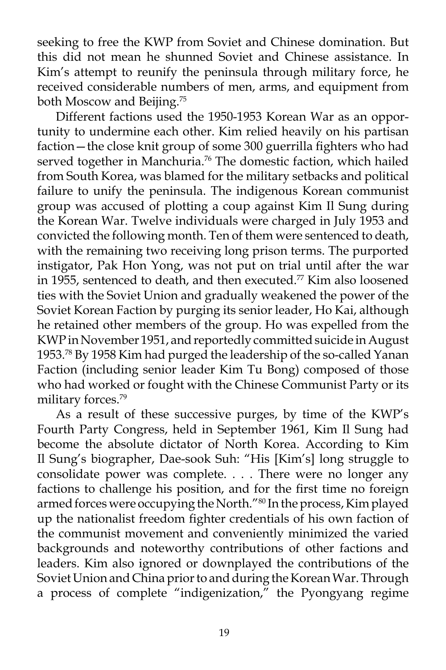seeking to free the KWP from Soviet and Chinese domination. But this did not mean he shunned Soviet and Chinese assistance. In Kim's attempt to reunify the peninsula through military force, he received considerable numbers of men, arms, and equipment from both Moscow and Beijing.<sup>75</sup>

Different factions used the 1950-1953 Korean War as an opportunity to undermine each other. Kim relied heavily on his partisan faction—the close knit group of some 300 guerrilla fighters who had served together in Manchuria.<sup>76</sup> The domestic faction, which hailed from South Korea, was blamed for the military setbacks and political failure to unify the peninsula. The indigenous Korean communist group was accused of plotting a coup against Kim Il Sung during the Korean War. Twelve individuals were charged in July 1953 and convicted the following month. Ten of them were sentenced to death, with the remaining two receiving long prison terms. The purported instigator, Pak Hon Yong, was not put on trial until after the war in 1955, sentenced to death, and then executed.<sup>77</sup> Kim also loosened ties with the Soviet Union and gradually weakened the power of the Soviet Korean Faction by purging its senior leader, Ho Kai, although he retained other members of the group. Ho was expelled from the KWP in November 1951, and reportedly committed suicide in August 1953.78 By 1958 Kim had purged the leadership of the so-called Yanan Faction (including senior leader Kim Tu Bong) composed of those who had worked or fought with the Chinese Communist Party or its military forces.<sup>79</sup>

As a result of these successive purges, by time of the KWP's Fourth Party Congress, held in September 1961, Kim Il Sung had become the absolute dictator of North Korea. According to Kim Il Sung's biographer, Dae-sook Suh: "His [Kim's] long struggle to consolidate power was complete. . . . There were no longer any factions to challenge his position, and for the first time no foreign armed forces were occupying the North."<sup>80</sup> In the process, Kim played up the nationalist freedom fighter credentials of his own faction of the communist movement and conveniently minimized the varied backgrounds and noteworthy contributions of other factions and leaders. Kim also ignored or downplayed the contributions of the Soviet Union and China prior to and during the Korean War. Through a process of complete "indigenization," the Pyongyang regime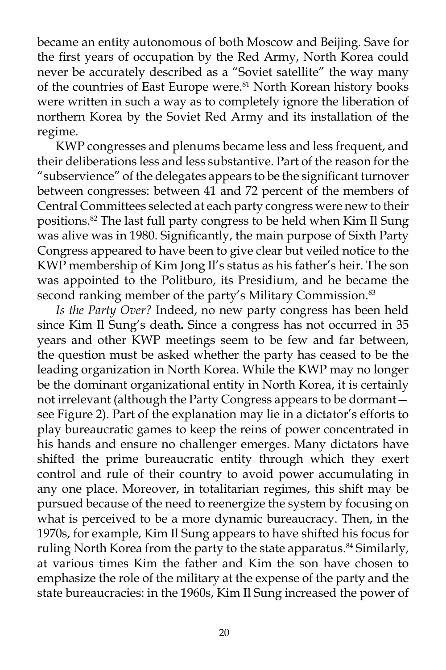became an entity autonomous of both Moscow and Beijing. Save for the first years of occupation by the Red Army, North Korea could never be accurately described as a "Soviet satellite" the way many of the countries of East Europe were.<sup>81</sup> North Korean history books were written in such a way as to completely ignore the liberation of northern Korea by the Soviet Red Army and its installation of the regime.

KWP congresses and plenums became less and less frequent, and their deliberations less and less substantive. Part of the reason for the "subservience" of the delegates appears to be the significant turnover between congresses: between 41 and 72 percent of the members of Central Committees selected at each party congress were new to their positions.82 The last full party congress to be held when Kim Il Sung was alive was in 1980. Significantly, the main purpose of Sixth Party Congress appeared to have been to give clear but veiled notice to the KWP membership of Kim Jong Il's status as his father's heir. The son was appointed to the Politburo, its Presidium, and he became the second ranking member of the party's Military Commission.<sup>83</sup>

*Is the Party Over?* Indeed, no new party congress has been held since Kim Il Sung's death**.** Since a congress has not occurred in 35 years and other KWP meetings seem to be few and far between, the question must be asked whether the party has ceased to be the leading organization in North Korea. While the KWP may no longer be the dominant organizational entity in North Korea, it is certainly not irrelevant (although the Party Congress appears to be dormant see Figure 2). Part of the explanation may lie in a dictator's efforts to play bureaucratic games to keep the reins of power concentrated in his hands and ensure no challenger emerges. Many dictators have shifted the prime bureaucratic entity through which they exert control and rule of their country to avoid power accumulating in any one place. Moreover, in totalitarian regimes, this shift may be pursued because of the need to reenergize the system by focusing on what is perceived to be a more dynamic bureaucracy. Then, in the 1970s, for example, Kim Il Sung appears to have shifted his focus for ruling North Korea from the party to the state apparatus.<sup>84</sup> Similarly, at various times Kim the father and Kim the son have chosen to emphasize the role of the military at the expense of the party and the state bureaucracies: in the 1960s, Kim Il Sung increased the power of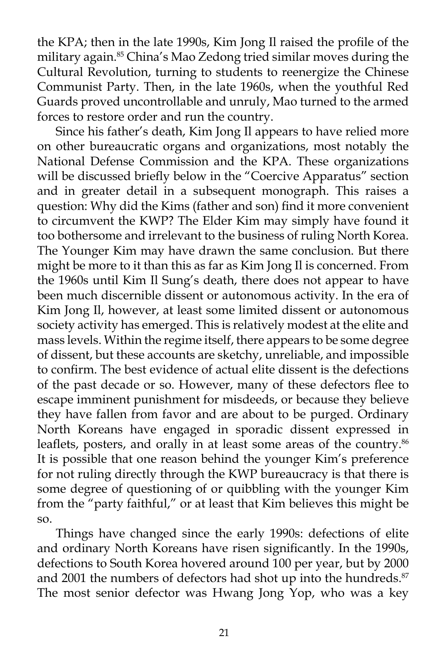the KPA; then in the late 1990s, Kim Jong Il raised the profile of the military again.<sup>85</sup> China's Mao Zedong tried similar moves during the Cultural Revolution, turning to students to reenergize the Chinese Communist Party. Then, in the late 1960s, when the youthful Red Guards proved uncontrollable and unruly, Mao turned to the armed forces to restore order and run the country.

Since his father's death, Kim Jong Il appears to have relied more on other bureaucratic organs and organizations, most notably the National Defense Commission and the KPA. These organizations will be discussed briefly below in the "Coercive Apparatus" section and in greater detail in a subsequent monograph. This raises a question: Why did the Kims (father and son) find it more convenient to circumvent the KWP? The Elder Kim may simply have found it too bothersome and irrelevant to the business of ruling North Korea. The Younger Kim may have drawn the same conclusion. But there might be more to it than this as far as Kim Jong Il is concerned. From the 1960s until Kim Il Sung's death, there does not appear to have been much discernible dissent or autonomous activity. In the era of Kim Jong Il, however, at least some limited dissent or autonomous society activity has emerged. This is relatively modest at the elite and mass levels. Within the regime itself, there appears to be some degree of dissent, but these accounts are sketchy, unreliable, and impossible to confirm. The best evidence of actual elite dissent is the defections of the past decade or so. However, many of these defectors flee to escape imminent punishment for misdeeds, or because they believe they have fallen from favor and are about to be purged. Ordinary North Koreans have engaged in sporadic dissent expressed in leaflets, posters, and orally in at least some areas of the country.<sup>86</sup> It is possible that one reason behind the younger Kim's preference for not ruling directly through the KWP bureaucracy is that there is some degree of questioning of or quibbling with the younger Kim from the "party faithful," or at least that Kim believes this might be so.

Things have changed since the early 1990s: defections of elite and ordinary North Koreans have risen significantly. In the 1990s, defections to South Korea hovered around 100 per year, but by 2000 and 2001 the numbers of defectors had shot up into the hundreds.<sup>87</sup> The most senior defector was Hwang Jong Yop, who was a key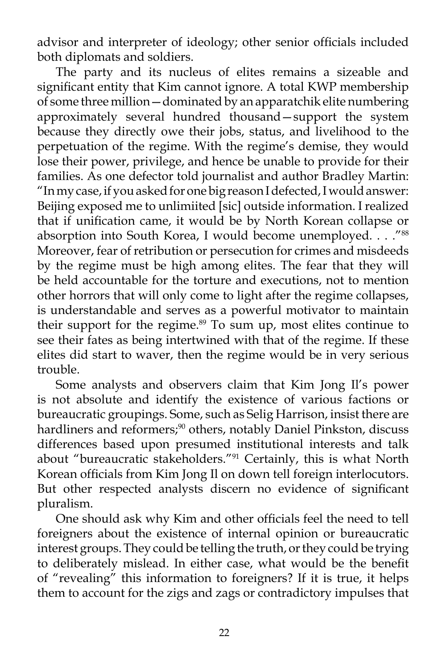advisor and interpreter of ideology; other senior officials included both diplomats and soldiers.

The party and its nucleus of elites remains a sizeable and significant entity that Kim cannot ignore. A total KWP membership of some three million—dominated by an apparatchik elite numbering approximately several hundred thousand—support the system because they directly owe their jobs, status, and livelihood to the perpetuation of the regime. With the regime's demise, they would lose their power, privilege, and hence be unable to provide for their families. As one defector told journalist and author Bradley Martin: "In my case, if you asked for one big reason I defected, I would answer: Beijing exposed me to unlimiited [sic] outside information. I realized that if unification came, it would be by North Korean collapse or absorption into South Korea, I would become unemployed. . . ."88 Moreover, fear of retribution or persecution for crimes and misdeeds by the regime must be high among elites. The fear that they will be held accountable for the torture and executions, not to mention other horrors that will only come to light after the regime collapses, is understandable and serves as a powerful motivator to maintain their support for the regime.<sup>89</sup> To sum up, most elites continue to see their fates as being intertwined with that of the regime. If these elites did start to waver, then the regime would be in very serious trouble.

Some analysts and observers claim that Kim Jong Il's power is not absolute and identify the existence of various factions or bureaucratic groupings. Some, such as Selig Harrison, insist there are hardliners and reformers;<sup>90</sup> others, notably Daniel Pinkston, discuss differences based upon presumed institutional interests and talk about "bureaucratic stakeholders."91 Certainly, this is what North Korean officials from Kim Jong Il on down tell foreign interlocutors. But other respected analysts discern no evidence of significant pluralism.

One should ask why Kim and other officials feel the need to tell foreigners about the existence of internal opinion or bureaucratic interest groups. They could be telling the truth, or they could be trying to deliberately mislead. In either case, what would be the benefit of "revealing" this information to foreigners? If it is true, it helps them to account for the zigs and zags or contradictory impulses that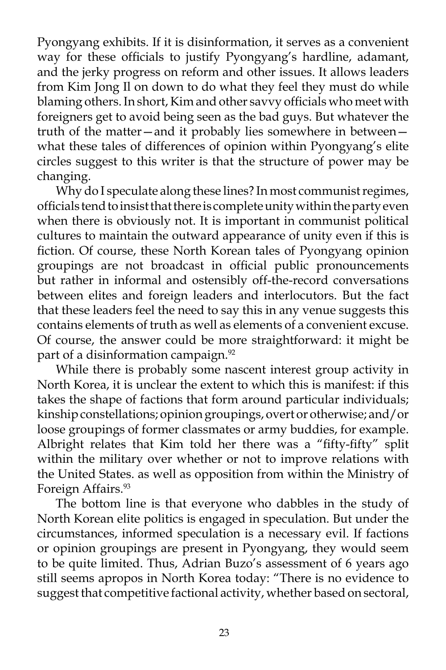Pyongyang exhibits. If it is disinformation, it serves as a convenient way for these officials to justify Pyongyang's hardline, adamant, and the jerky progress on reform and other issues. It allows leaders from Kim Jong Il on down to do what they feel they must do while blaming others. In short, Kim and other savvy officials who meet with foreigners get to avoid being seen as the bad guys. But whatever the truth of the matter—and it probably lies somewhere in between what these tales of differences of opinion within Pyongyang's elite circles suggest to this writer is that the structure of power may be changing.

Why do I speculate along these lines? In most communist regimes, officials tend to insist that there is complete unity within the party even when there is obviously not. It is important in communist political cultures to maintain the outward appearance of unity even if this is fiction. Of course, these North Korean tales of Pyongyang opinion groupings are not broadcast in official public pronouncements but rather in informal and ostensibly off-the-record conversations between elites and foreign leaders and interlocutors. But the fact that these leaders feel the need to say this in any venue suggests this contains elements of truth as well as elements of a convenient excuse. Of course, the answer could be more straightforward: it might be part of a disinformation campaign.<sup>92</sup>

While there is probably some nascent interest group activity in North Korea, it is unclear the extent to which this is manifest: if this takes the shape of factions that form around particular individuals; kinship constellations; opinion groupings, overt or otherwise; and/or loose groupings of former classmates or army buddies, for example. Albright relates that Kim told her there was a "fifty-fifty" split within the military over whether or not to improve relations with the United States. as well as opposition from within the Ministry of Foreign Affairs.<sup>93</sup>

The bottom line is that everyone who dabbles in the study of North Korean elite politics is engaged in speculation. But under the circumstances, informed speculation is a necessary evil. If factions or opinion groupings are present in Pyongyang, they would seem to be quite limited. Thus, Adrian Buzo's assessment of 6 years ago still seems apropos in North Korea today: "There is no evidence to suggest that competitive factional activity, whether based on sectoral,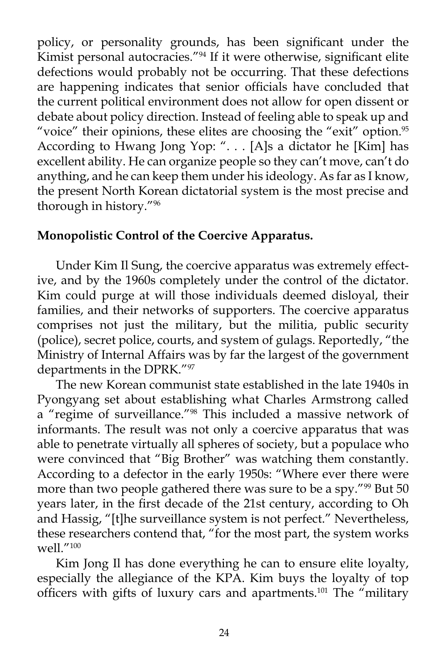policy, or personality grounds, has been significant under the Kimist personal autocracies."94 If it were otherwise, significant elite defections would probably not be occurring. That these defections are happening indicates that senior officials have concluded that the current political environment does not allow for open dissent or debate about policy direction. Instead of feeling able to speak up and "voice" their opinions, these elites are choosing the "exit" option. $95$ According to Hwang Jong Yop: ". . . [A]s a dictator he [Kim] has excellent ability. He can organize people so they can't move, can't do anything, and he can keep them under his ideology. As far as I know, the present North Korean dictatorial system is the most precise and thorough in history."96

### **Monopolistic Control of the Coercive Apparatus.**

Under Kim Il Sung, the coercive apparatus was extremely effective, and by the 1960s completely under the control of the dictator. Kim could purge at will those individuals deemed disloyal, their families, and their networks of supporters. The coercive apparatus comprises not just the military, but the militia, public security (police), secret police, courts, and system of gulags. Reportedly, "the Ministry of Internal Affairs was by far the largest of the government departments in the DPRK."97

The new Korean communist state established in the late 1940s in Pyongyang set about establishing what Charles Armstrong called a "regime of surveillance."98 This included a massive network of informants. The result was not only a coercive apparatus that was able to penetrate virtually all spheres of society, but a populace who were convinced that "Big Brother" was watching them constantly. According to a defector in the early 1950s: "Where ever there were more than two people gathered there was sure to be a spy."<sup>99</sup> But 50 years later, in the first decade of the 21st century, according to Oh and Hassig, "[t]he surveillance system is not perfect." Nevertheless, these researchers contend that, "for the most part, the system works well<sup>"100</sup>

Kim Jong Il has done everything he can to ensure elite loyalty, especially the allegiance of the KPA. Kim buys the loyalty of top officers with gifts of luxury cars and apartments.<sup>101</sup> The "military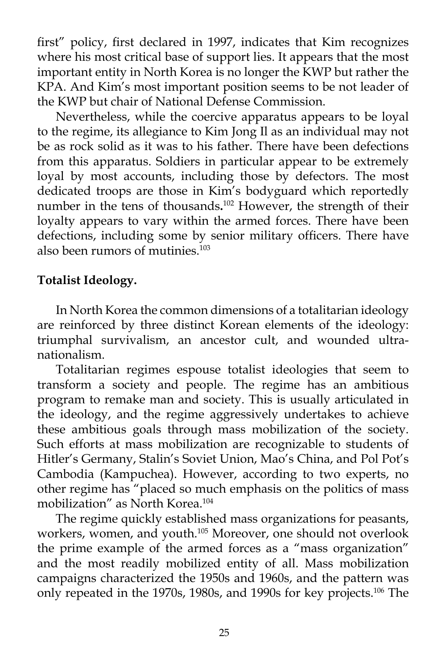first" policy, first declared in 1997, indicates that Kim recognizes where his most critical base of support lies. It appears that the most important entity in North Korea is no longer the KWP but rather the KPA. And Kim's most important position seems to be not leader of the KWP but chair of National Defense Commission.

Nevertheless, while the coercive apparatus appears to be loyal to the regime, its allegiance to Kim Jong Il as an individual may not be as rock solid as it was to his father. There have been defections from this apparatus. Soldiers in particular appear to be extremely loyal by most accounts, including those by defectors. The most dedicated troops are those in Kim's bodyguard which reportedly number in the tens of thousands.<sup>102</sup> However, the strength of their loyalty appears to vary within the armed forces. There have been defections, including some by senior military officers. There have also been rumors of mutinies<sup>103</sup>

### **Totalist Ideology.**

In North Korea the common dimensions of a totalitarian ideology are reinforced by three distinct Korean elements of the ideology: triumphal survivalism, an ancestor cult, and wounded ultranationalism.

Totalitarian regimes espouse totalist ideologies that seem to transform a society and people. The regime has an ambitious program to remake man and society. This is usually articulated in the ideology, and the regime aggressively undertakes to achieve these ambitious goals through mass mobilization of the society. Such efforts at mass mobilization are recognizable to students of Hitler's Germany, Stalin's Soviet Union, Mao's China, and Pol Pot's Cambodia (Kampuchea). However, according to two experts, no other regime has "placed so much emphasis on the politics of mass mobilization" as North Korea.104

The regime quickly established mass organizations for peasants, workers, women, and youth.105 Moreover, one should not overlook the prime example of the armed forces as a "mass organization" and the most readily mobilized entity of all. Mass mobilization campaigns characterized the 1950s and 1960s, and the pattern was only repeated in the 1970s, 1980s, and 1990s for key projects.<sup>106</sup> The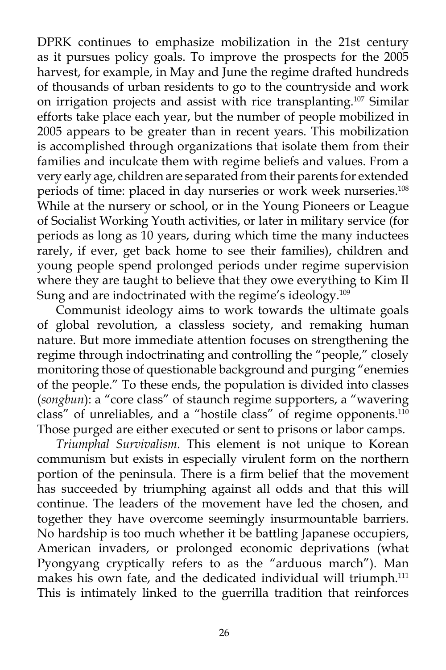DPRK continues to emphasize mobilization in the 21st century as it pursues policy goals. To improve the prospects for the 2005 harvest, for example, in May and June the regime drafted hundreds of thousands of urban residents to go to the countryside and work on irrigation projects and assist with rice transplanting.107 Similar efforts take place each year, but the number of people mobilized in 2005 appears to be greater than in recent years. This mobilization is accomplished through organizations that isolate them from their families and inculcate them with regime beliefs and values. From a very early age, children are separated from their parents for extended periods of time: placed in day nurseries or work week nurseries.<sup>108</sup> While at the nursery or school, or in the Young Pioneers or League of Socialist Working Youth activities, or later in military service (for periods as long as 10 years, during which time the many inductees rarely, if ever, get back home to see their families), children and young people spend prolonged periods under regime supervision where they are taught to believe that they owe everything to Kim Il Sung and are indoctrinated with the regime's ideology.<sup>109</sup>

Communist ideology aims to work towards the ultimate goals of global revolution, a classless society, and remaking human nature. But more immediate attention focuses on strengthening the regime through indoctrinating and controlling the "people," closely monitoring those of questionable background and purging "enemies of the people." To these ends, the population is divided into classes (*songbun*): a "core class" of staunch regime supporters, a "wavering class" of unreliables, and a "hostile class" of regime opponents.<sup>110</sup> Those purged are either executed or sent to prisons or labor camps.

*Triumphal Survivalism*. This element is not unique to Korean communism but exists in especially virulent form on the northern portion of the peninsula. There is a firm belief that the movement has succeeded by triumphing against all odds and that this will continue. The leaders of the movement have led the chosen, and together they have overcome seemingly insurmountable barriers. No hardship is too much whether it be battling Japanese occupiers, American invaders, or prolonged economic deprivations (what Pyongyang cryptically refers to as the "arduous march"). Man makes his own fate, and the dedicated individual will triumph.<sup>111</sup> This is intimately linked to the guerrilla tradition that reinforces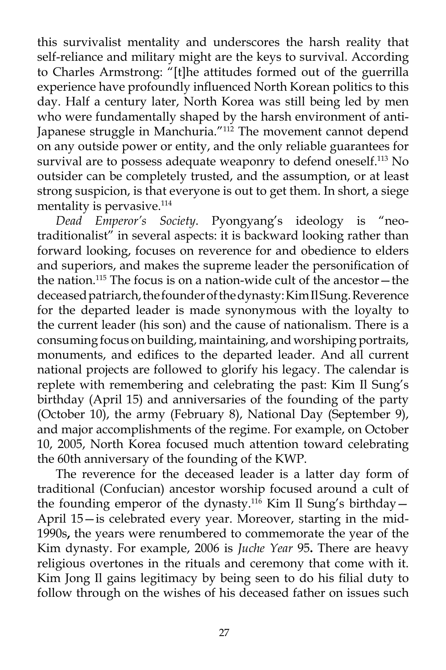this survivalist mentality and underscores the harsh reality that self-reliance and military might are the keys to survival. According to Charles Armstrong: "[t]he attitudes formed out of the guerrilla experience have profoundly influenced North Korean politics to this day. Half a century later, North Korea was still being led by men who were fundamentally shaped by the harsh environment of anti-Japanese struggle in Manchuria."<sup>112</sup> The movement cannot depend on any outside power or entity, and the only reliable guarantees for survival are to possess adequate weaponry to defend oneself.<sup>113</sup> No outsider can be completely trusted, and the assumption, or at least strong suspicion, is that everyone is out to get them. In short, a siege mentality is pervasive.<sup>114</sup>

*Dead Emperor's Society*. Pyongyang's ideology is "neotraditionalist" in several aspects: it is backward looking rather than forward looking, focuses on reverence for and obedience to elders and superiors, and makes the supreme leader the personification of the nation.<sup>115</sup> The focus is on a nation-wide cult of the ancestor – the deceased patriarch, the founder of the dynasty: Kim Il Sung. Reverence for the departed leader is made synonymous with the loyalty to the current leader (his son) and the cause of nationalism. There is a consuming focus on building, maintaining, and worshiping portraits, monuments, and edifices to the departed leader. And all current national projects are followed to glorify his legacy. The calendar is replete with remembering and celebrating the past: Kim Il Sung's birthday (April 15) and anniversaries of the founding of the party (October 10), the army (February 8), National Day (September 9), and major accomplishments of the regime. For example, on October 10, 2005, North Korea focused much attention toward celebrating the 60th anniversary of the founding of the KWP.

The reverence for the deceased leader is a latter day form of traditional (Confucian) ancestor worship focused around a cult of the founding emperor of the dynasty.116 Kim Il Sung's birthday— April 15—is celebrated every year. Moreover, starting in the mid-1990s**,** the years were renumbered to commemorate the year of the Kim dynasty. For example, 2006 is *Juche Year* 95**.** There are heavy religious overtones in the rituals and ceremony that come with it. Kim Jong Il gains legitimacy by being seen to do his filial duty to follow through on the wishes of his deceased father on issues such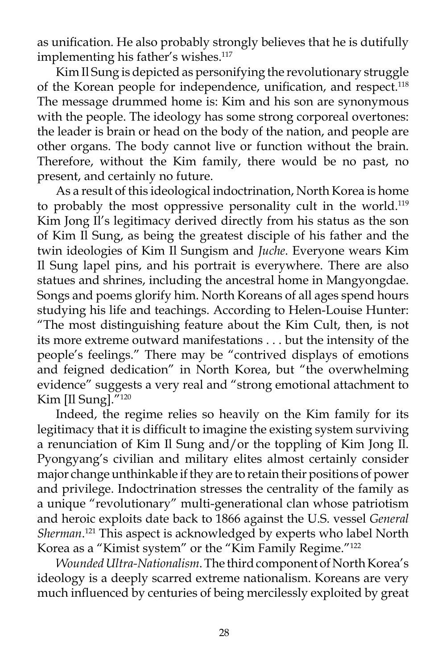as unification. He also probably strongly believes that he is dutifully implementing his father's wishes.<sup>117</sup>

Kim Il Sung is depicted as personifying the revolutionary struggle of the Korean people for independence, unification, and respect.<sup>118</sup> The message drummed home is: Kim and his son are synonymous with the people. The ideology has some strong corporeal overtones: the leader is brain or head on the body of the nation, and people are other organs. The body cannot live or function without the brain. Therefore, without the Kim family, there would be no past, no present, and certainly no future.

As a result of this ideological indoctrination, North Korea is home to probably the most oppressive personality cult in the world.<sup>119</sup> Kim Jong Il's legitimacy derived directly from his status as the son of Kim Il Sung, as being the greatest disciple of his father and the twin ideologies of Kim Il Sungism and *Juche*. Everyone wears Kim Il Sung lapel pins, and his portrait is everywhere. There are also statues and shrines, including the ancestral home in Mangyongdae. Songs and poems glorify him. North Koreans of all ages spend hours studying his life and teachings. According to Helen-Louise Hunter: "The most distinguishing feature about the Kim Cult, then, is not its more extreme outward manifestations . . . but the intensity of the people's feelings." There may be "contrived displays of emotions and feigned dedication" in North Korea, but "the overwhelming evidence" suggests a very real and "strong emotional attachment to Kim [Il Sung]."120

Indeed, the regime relies so heavily on the Kim family for its legitimacy that it is difficult to imagine the existing system surviving a renunciation of Kim Il Sung and/or the toppling of Kim Jong Il. Pyongyang's civilian and military elites almost certainly consider major change unthinkable if they are to retain their positions of power and privilege. Indoctrination stresses the centrality of the family as a unique "revolutionary" multi-generational clan whose patriotism and heroic exploits date back to 1866 against the U.S. vessel *General Sherman*. 121 This aspect is acknowledged by experts who label North Korea as a "Kimist system" or the "Kim Family Regime."122

*Wounded Ultra-Nationalism*. The third component of North Korea's ideology is a deeply scarred extreme nationalism. Koreans are very much influenced by centuries of being mercilessly exploited by great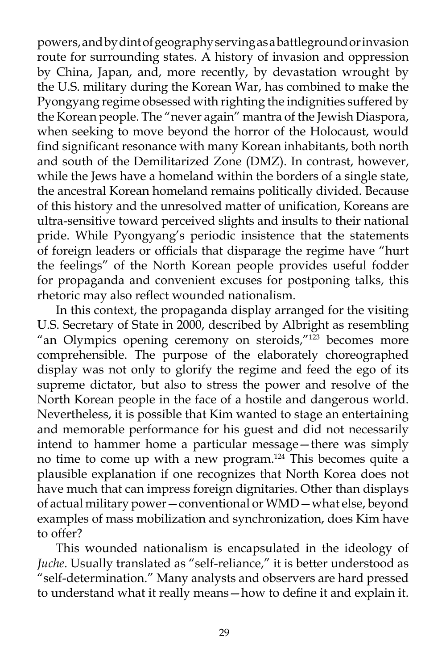powers, and by dint of geography serving as a battleground or invasion route for surrounding states. A history of invasion and oppression by China, Japan, and, more recently, by devastation wrought by the U.S. military during the Korean War, has combined to make the Pyongyang regime obsessed with righting the indignities suffered by the Korean people. The "never again" mantra of the Jewish Diaspora, when seeking to move beyond the horror of the Holocaust, would find significant resonance with many Korean inhabitants, both north and south of the Demilitarized Zone (DMZ). In contrast, however, while the Jews have a homeland within the borders of a single state, the ancestral Korean homeland remains politically divided. Because of this history and the unresolved matter of unification, Koreans are ultra-sensitive toward perceived slights and insults to their national pride. While Pyongyang's periodic insistence that the statements of foreign leaders or officials that disparage the regime have "hurt the feelings" of the North Korean people provides useful fodder for propaganda and convenient excuses for postponing talks, this rhetoric may also reflect wounded nationalism.

In this context, the propaganda display arranged for the visiting U.S. Secretary of State in 2000, described by Albright as resembling "an Olympics opening ceremony on steroids,"<sup>123</sup> becomes more comprehensible. The purpose of the elaborately choreographed display was not only to glorify the regime and feed the ego of its supreme dictator, but also to stress the power and resolve of the North Korean people in the face of a hostile and dangerous world. Nevertheless, it is possible that Kim wanted to stage an entertaining and memorable performance for his guest and did not necessarily intend to hammer home a particular message—there was simply no time to come up with a new program.<sup>124</sup> This becomes quite a plausible explanation if one recognizes that North Korea does not have much that can impress foreign dignitaries. Other than displays of actual military power—conventional or WMD—what else, beyond examples of mass mobilization and synchronization, does Kim have to offer?

This wounded nationalism is encapsulated in the ideology of *Juche*. Usually translated as "self-reliance," it is better understood as "self-determination." Many analysts and observers are hard pressed to understand what it really means—how to define it and explain it.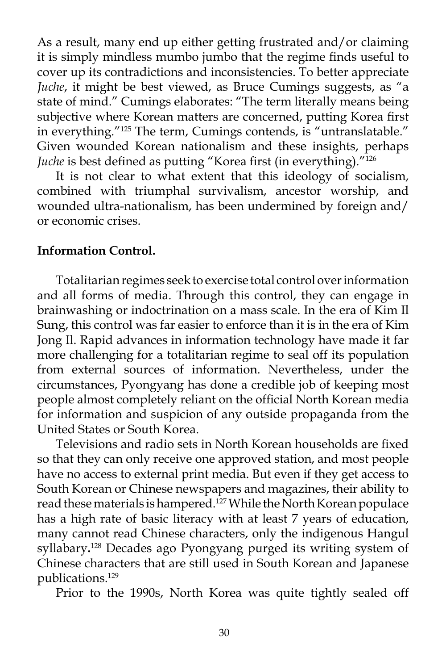As a result, many end up either getting frustrated and/or claiming it is simply mindless mumbo jumbo that the regime finds useful to cover up its contradictions and inconsistencies. To better appreciate *Juche*, it might be best viewed, as Bruce Cumings suggests, as "a state of mind." Cumings elaborates: "The term literally means being subjective where Korean matters are concerned, putting Korea first in everything."125 The term, Cumings contends, is "untranslatable." Given wounded Korean nationalism and these insights, perhaps *Juche* is best defined as putting "Korea first (in everything)."<sup>126</sup>

It is not clear to what extent that this ideology of socialism, combined with triumphal survivalism, ancestor worship, and wounded ultra-nationalism, has been undermined by foreign and/ or economic crises.

### **Information Control.**

Totalitarian regimes seek to exercise total control over information and all forms of media. Through this control, they can engage in brainwashing or indoctrination on a mass scale. In the era of Kim Il Sung, this control was far easier to enforce than it is in the era of Kim Jong Il. Rapid advances in information technology have made it far more challenging for a totalitarian regime to seal off its population from external sources of information. Nevertheless, under the circumstances, Pyongyang has done a credible job of keeping most people almost completely reliant on the official North Korean media for information and suspicion of any outside propaganda from the United States or South Korea.

Televisions and radio sets in North Korean households are fixed so that they can only receive one approved station, and most people have no access to external print media. But even if they get access to South Korean or Chinese newspapers and magazines, their ability to read these materials is hampered.<sup>127</sup> While the North Korean populace has a high rate of basic literacy with at least 7 years of education, many cannot read Chinese characters, only the indigenous Hangul syllabary**.** 128 Decades ago Pyongyang purged its writing system of Chinese characters that are still used in South Korean and Japanese publications.129

Prior to the 1990s, North Korea was quite tightly sealed off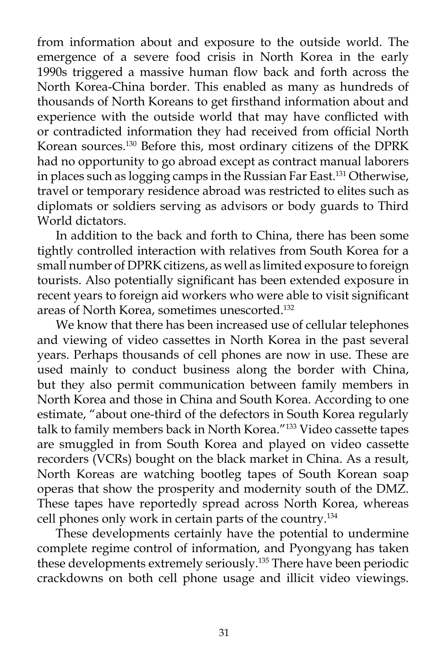from information about and exposure to the outside world. The emergence of a severe food crisis in North Korea in the early 1990s triggered a massive human flow back and forth across the North Korea-China border. This enabled as many as hundreds of thousands of North Koreans to get firsthand information about and experience with the outside world that may have conflicted with or contradicted information they had received from official North Korean sources.130 Before this, most ordinary citizens of the DPRK had no opportunity to go abroad except as contract manual laborers in places such as logging camps in the Russian Far East.131 Otherwise, travel or temporary residence abroad was restricted to elites such as diplomats or soldiers serving as advisors or body guards to Third World dictators.

In addition to the back and forth to China, there has been some tightly controlled interaction with relatives from South Korea for a small number of DPRK citizens, as well as limited exposure to foreign tourists. Also potentially significant has been extended exposure in recent years to foreign aid workers who were able to visit significant areas of North Korea, sometimes unescorted.132

We know that there has been increased use of cellular telephones and viewing of video cassettes in North Korea in the past several years. Perhaps thousands of cell phones are now in use. These are used mainly to conduct business along the border with China, but they also permit communication between family members in North Korea and those in China and South Korea. According to one estimate, "about one-third of the defectors in South Korea regularly talk to family members back in North Korea."<sup>133</sup> Video cassette tapes are smuggled in from South Korea and played on video cassette recorders (VCRs) bought on the black market in China. As a result, North Koreas are watching bootleg tapes of South Korean soap operas that show the prosperity and modernity south of the DMZ. These tapes have reportedly spread across North Korea, whereas cell phones only work in certain parts of the country.134

These developments certainly have the potential to undermine complete regime control of information, and Pyongyang has taken these developments extremely seriously.135 There have been periodic crackdowns on both cell phone usage and illicit video viewings.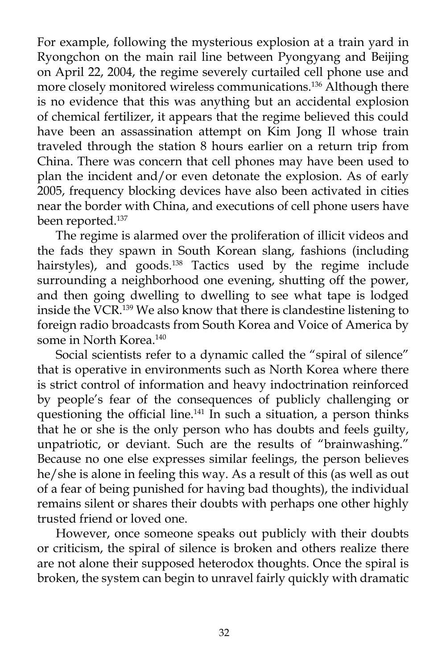For example, following the mysterious explosion at a train yard in Ryongchon on the main rail line between Pyongyang and Beijing on April 22, 2004, the regime severely curtailed cell phone use and more closely monitored wireless communications.136 Although there is no evidence that this was anything but an accidental explosion of chemical fertilizer, it appears that the regime believed this could have been an assassination attempt on Kim Jong Il whose train traveled through the station 8 hours earlier on a return trip from China. There was concern that cell phones may have been used to plan the incident and/or even detonate the explosion. As of early 2005, frequency blocking devices have also been activated in cities near the border with China, and executions of cell phone users have been reported.<sup>137</sup>

The regime is alarmed over the proliferation of illicit videos and the fads they spawn in South Korean slang, fashions (including hairstyles), and goods.<sup>138</sup> Tactics used by the regime include surrounding a neighborhood one evening, shutting off the power, and then going dwelling to dwelling to see what tape is lodged inside the VCR.139 We also know that there is clandestine listening to foreign radio broadcasts from South Korea and Voice of America by some in North Korea.<sup>140</sup>

Social scientists refer to a dynamic called the "spiral of silence" that is operative in environments such as North Korea where there is strict control of information and heavy indoctrination reinforced by people's fear of the consequences of publicly challenging or questioning the official line.<sup>141</sup> In such a situation, a person thinks that he or she is the only person who has doubts and feels guilty, unpatriotic, or deviant. Such are the results of "brainwashing." Because no one else expresses similar feelings, the person believes he/she is alone in feeling this way. As a result of this (as well as out of a fear of being punished for having bad thoughts), the individual remains silent or shares their doubts with perhaps one other highly trusted friend or loved one.

However, once someone speaks out publicly with their doubts or criticism, the spiral of silence is broken and others realize there are not alone their supposed heterodox thoughts. Once the spiral is broken, the system can begin to unravel fairly quickly with dramatic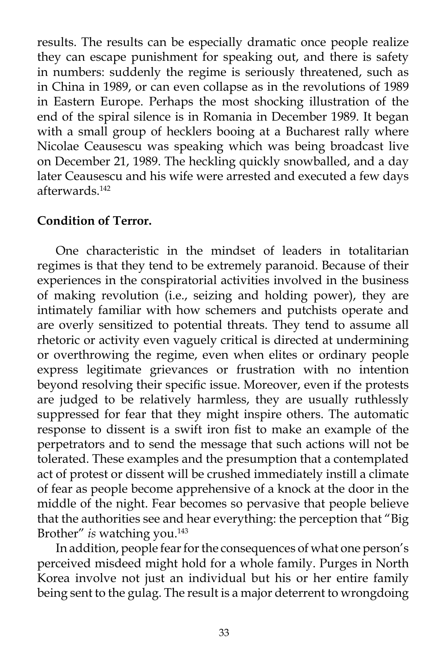results. The results can be especially dramatic once people realize they can escape punishment for speaking out, and there is safety in numbers: suddenly the regime is seriously threatened, such as in China in 1989, or can even collapse as in the revolutions of 1989 in Eastern Europe. Perhaps the most shocking illustration of the end of the spiral silence is in Romania in December 1989. It began with a small group of hecklers booing at a Bucharest rally where Nicolae Ceausescu was speaking which was being broadcast live on December 21, 1989. The heckling quickly snowballed, and a day later Ceausescu and his wife were arrested and executed a few days afterwards.142

### **Condition of Terror.**

One characteristic in the mindset of leaders in totalitarian regimes is that they tend to be extremely paranoid. Because of their experiences in the conspiratorial activities involved in the business of making revolution (i.e., seizing and holding power), they are intimately familiar with how schemers and putchists operate and are overly sensitized to potential threats. They tend to assume all rhetoric or activity even vaguely critical is directed at undermining or overthrowing the regime, even when elites or ordinary people express legitimate grievances or frustration with no intention beyond resolving their specific issue. Moreover, even if the protests are judged to be relatively harmless, they are usually ruthlessly suppressed for fear that they might inspire others. The automatic response to dissent is a swift iron fist to make an example of the perpetrators and to send the message that such actions will not be tolerated. These examples and the presumption that a contemplated act of protest or dissent will be crushed immediately instill a climate of fear as people become apprehensive of a knock at the door in the middle of the night. Fear becomes so pervasive that people believe that the authorities see and hear everything: the perception that "Big Brother" *is* watching you.143

In addition, people fear for the consequences of what one person's perceived misdeed might hold for a whole family. Purges in North Korea involve not just an individual but his or her entire family being sent to the gulag. The result is a major deterrent to wrongdoing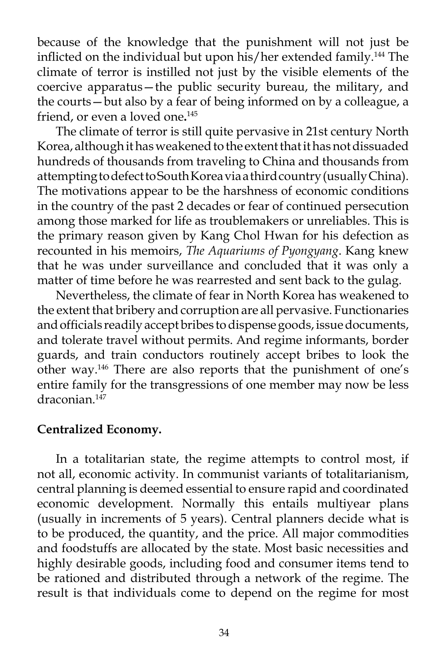because of the knowledge that the punishment will not just be inflicted on the individual but upon his/her extended family.<sup>144</sup> The climate of terror is instilled not just by the visible elements of the coercive apparatus—the public security bureau, the military, and the courts—but also by a fear of being informed on by a colleague, a friend, or even a loved one**.** 145

The climate of terror is still quite pervasive in 21st century North Korea, although it has weakened to the extent that it has not dissuaded hundreds of thousands from traveling to China and thousands from attempting to defect to South Korea via a third country (usually China). The motivations appear to be the harshness of economic conditions in the country of the past 2 decades or fear of continued persecution among those marked for life as troublemakers or unreliables. This is the primary reason given by Kang Chol Hwan for his defection as recounted in his memoirs, *The Aquariums of Pyongyang*. Kang knew that he was under surveillance and concluded that it was only a matter of time before he was rearrested and sent back to the gulag.

Nevertheless, the climate of fear in North Korea has weakened to the extent that bribery and corruption are all pervasive. Functionaries and officials readily accept bribes to dispense goods, issue documents, and tolerate travel without permits. And regime informants, border guards, and train conductors routinely accept bribes to look the other way.146 There are also reports that the punishment of one's entire family for the transgressions of one member may now be less draconian<sup>147</sup>

### **Centralized Economy.**

In a totalitarian state, the regime attempts to control most, if not all, economic activity. In communist variants of totalitarianism, central planning is deemed essential to ensure rapid and coordinated economic development. Normally this entails multiyear plans (usually in increments of 5 years). Central planners decide what is to be produced, the quantity, and the price. All major commodities and foodstuffs are allocated by the state. Most basic necessities and highly desirable goods, including food and consumer items tend to be rationed and distributed through a network of the regime. The result is that individuals come to depend on the regime for most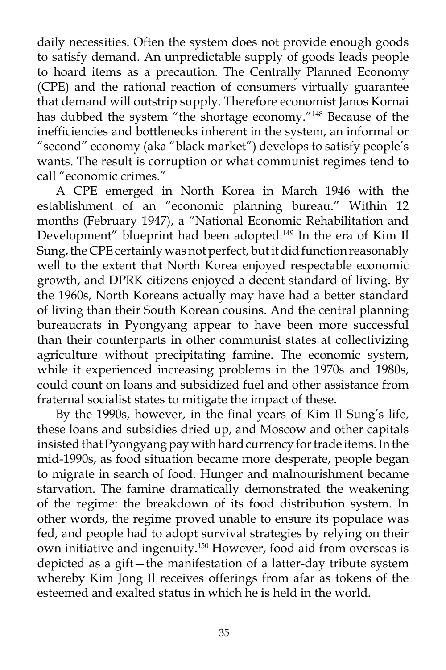daily necessities. Often the system does not provide enough goods to satisfy demand. An unpredictable supply of goods leads people to hoard items as a precaution. The Centrally Planned Economy (CPE) and the rational reaction of consumers virtually guarantee that demand will outstrip supply. Therefore economist Janos Kornai has dubbed the system "the shortage economy."<sup>148</sup> Because of the inefficiencies and bottlenecks inherent in the system, an informal or "second" economy (aka "black market") develops to satisfy people's wants. The result is corruption or what communist regimes tend to call "economic crimes."

A CPE emerged in North Korea in March 1946 with the establishment of an "economic planning bureau." Within 12 months (February 1947), a "National Economic Rehabilitation and Development" blueprint had been adopted.<sup>149</sup> In the era of Kim Il Sung, the CPE certainly was not perfect, but it did function reasonably well to the extent that North Korea enjoyed respectable economic growth, and DPRK citizens enjoyed a decent standard of living. By the 1960s, North Koreans actually may have had a better standard of living than their South Korean cousins. And the central planning bureaucrats in Pyongyang appear to have been more successful than their counterparts in other communist states at collectivizing agriculture without precipitating famine. The economic system, while it experienced increasing problems in the 1970s and 1980s, could count on loans and subsidized fuel and other assistance from fraternal socialist states to mitigate the impact of these.

By the 1990s, however, in the final years of Kim Il Sung's life, these loans and subsidies dried up, and Moscow and other capitals insisted that Pyongyang pay with hard currency for trade items. In the mid-1990s, as food situation became more desperate, people began to migrate in search of food. Hunger and malnourishment became starvation. The famine dramatically demonstrated the weakening of the regime: the breakdown of its food distribution system. In other words, the regime proved unable to ensure its populace was fed, and people had to adopt survival strategies by relying on their own initiative and ingenuity.150 However, food aid from overseas is depicted as a gift—the manifestation of a latter-day tribute system whereby Kim Jong Il receives offerings from afar as tokens of the esteemed and exalted status in which he is held in the world.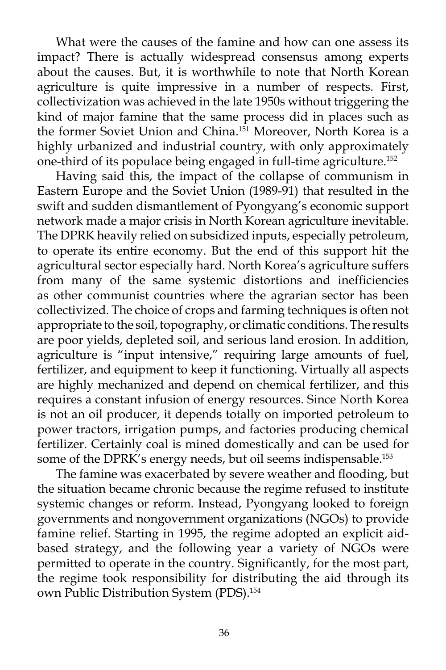What were the causes of the famine and how can one assess its impact? There is actually widespread consensus among experts about the causes. But, it is worthwhile to note that North Korean agriculture is quite impressive in a number of respects. First, collectivization was achieved in the late 1950s without triggering the kind of major famine that the same process did in places such as the former Soviet Union and China.<sup>151</sup> Moreover, North Korea is a highly urbanized and industrial country, with only approximately one-third of its populace being engaged in full-time agriculture.152

Having said this, the impact of the collapse of communism in Eastern Europe and the Soviet Union (1989-91) that resulted in the swift and sudden dismantlement of Pyongyang's economic support network made a major crisis in North Korean agriculture inevitable. The DPRK heavily relied on subsidized inputs, especially petroleum, to operate its entire economy. But the end of this support hit the agricultural sector especially hard. North Korea's agriculture suffers from many of the same systemic distortions and inefficiencies as other communist countries where the agrarian sector has been collectivized. The choice of crops and farming techniques is often not appropriate to the soil, topography, or climatic conditions. The results are poor yields, depleted soil, and serious land erosion. In addition, agriculture is "input intensive," requiring large amounts of fuel, fertilizer, and equipment to keep it functioning. Virtually all aspects are highly mechanized and depend on chemical fertilizer, and this requires a constant infusion of energy resources. Since North Korea is not an oil producer, it depends totally on imported petroleum to power tractors, irrigation pumps, and factories producing chemical fertilizer. Certainly coal is mined domestically and can be used for some of the DPRK's energy needs, but oil seems indispensable.<sup>153</sup>

The famine was exacerbated by severe weather and flooding, but the situation became chronic because the regime refused to institute systemic changes or reform. Instead, Pyongyang looked to foreign governments and nongovernment organizations (NGOs) to provide famine relief. Starting in 1995, the regime adopted an explicit aidbased strategy, and the following year a variety of NGOs were permitted to operate in the country. Significantly, for the most part, the regime took responsibility for distributing the aid through its own Public Distribution System (PDS).154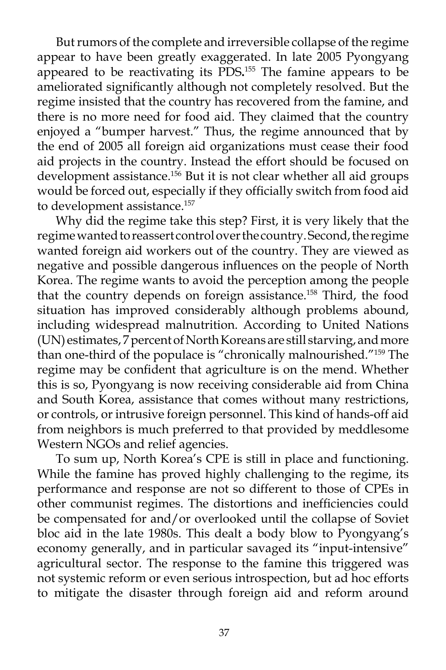But rumors of the complete and irreversible collapse of the regime appear to have been greatly exaggerated. In late 2005 Pyongyang appeared to be reactivating its PDS**.** <sup>155</sup> The famine appears to be ameliorated significantly although not completely resolved. But the regime insisted that the country has recovered from the famine, and there is no more need for food aid. They claimed that the country enjoyed a "bumper harvest." Thus, the regime announced that by the end of 2005 all foreign aid organizations must cease their food aid projects in the country. Instead the effort should be focused on development assistance.<sup>156</sup> But it is not clear whether all aid groups would be forced out, especially if they officially switch from food aid to development assistance.<sup>157</sup>

Why did the regime take this step? First, it is very likely that the regime wanted to reassert control over the country. Second, the regime wanted foreign aid workers out of the country. They are viewed as negative and possible dangerous influences on the people of North Korea. The regime wants to avoid the perception among the people that the country depends on foreign assistance.158 Third, the food situation has improved considerably although problems abound, including widespread malnutrition. According to United Nations (UN) estimates, 7 percent of North Koreans are still starving, and more than one-third of the populace is "chronically malnourished."159 The regime may be confident that agriculture is on the mend. Whether this is so, Pyongyang is now receiving considerable aid from China and South Korea, assistance that comes without many restrictions, or controls, or intrusive foreign personnel. This kind of hands-off aid from neighbors is much preferred to that provided by meddlesome Western NGOs and relief agencies.

To sum up, North Korea's CPE is still in place and functioning. While the famine has proved highly challenging to the regime, its performance and response are not so different to those of CPEs in other communist regimes. The distortions and inefficiencies could be compensated for and/or overlooked until the collapse of Soviet bloc aid in the late 1980s. This dealt a body blow to Pyongyang's economy generally, and in particular savaged its "input-intensive" agricultural sector. The response to the famine this triggered was not systemic reform or even serious introspection, but ad hoc efforts to mitigate the disaster through foreign aid and reform around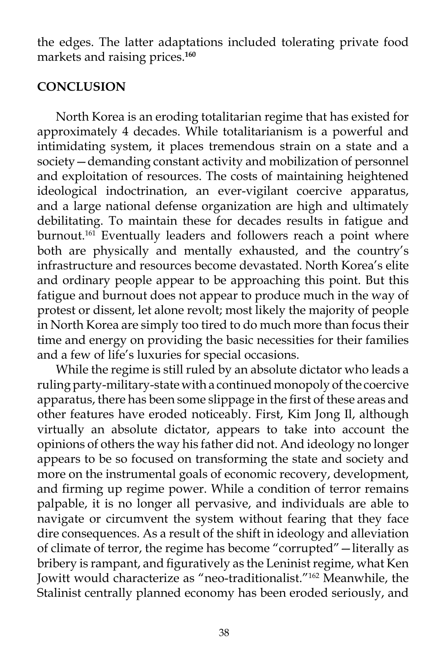the edges. The latter adaptations included tolerating private food markets and raising prices.**<sup>160</sup>**

### **CONCLUSION**

North Korea is an eroding totalitarian regime that has existed for approximately 4 decades. While totalitarianism is a powerful and intimidating system, it places tremendous strain on a state and a society—demanding constant activity and mobilization of personnel and exploitation of resources. The costs of maintaining heightened ideological indoctrination, an ever-vigilant coercive apparatus, and a large national defense organization are high and ultimately debilitating. To maintain these for decades results in fatigue and burnout.<sup>161</sup> Eventually leaders and followers reach a point where both are physically and mentally exhausted, and the country's infrastructure and resources become devastated. North Korea's elite and ordinary people appear to be approaching this point. But this fatigue and burnout does not appear to produce much in the way of protest or dissent, let alone revolt; most likely the majority of people in North Korea are simply too tired to do much more than focus their time and energy on providing the basic necessities for their families and a few of life's luxuries for special occasions.

While the regime is still ruled by an absolute dictator who leads a ruling party-military-state with a continued monopoly of the coercive apparatus, there has been some slippage in the first of these areas and other features have eroded noticeably. First, Kim Jong Il, although virtually an absolute dictator, appears to take into account the opinions of others the way his father did not. And ideology no longer appears to be so focused on transforming the state and society and more on the instrumental goals of economic recovery, development, and firming up regime power. While a condition of terror remains palpable, it is no longer all pervasive, and individuals are able to navigate or circumvent the system without fearing that they face dire consequences. As a result of the shift in ideology and alleviation of climate of terror, the regime has become "corrupted"—literally as bribery is rampant, and figuratively as the Leninist regime, what Ken Jowitt would characterize as "neo-traditionalist."162 Meanwhile, the Stalinist centrally planned economy has been eroded seriously, and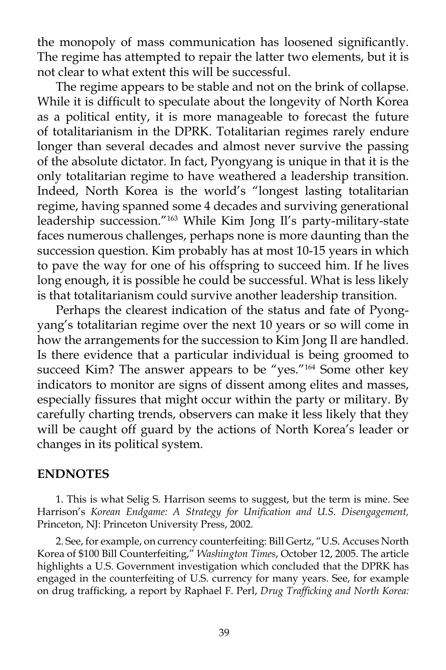the monopoly of mass communication has loosened significantly. The regime has attempted to repair the latter two elements, but it is not clear to what extent this will be successful.

The regime appears to be stable and not on the brink of collapse. While it is difficult to speculate about the longevity of North Korea as a political entity, it is more manageable to forecast the future of totalitarianism in the DPRK. Totalitarian regimes rarely endure longer than several decades and almost never survive the passing of the absolute dictator. In fact, Pyongyang is unique in that it is the only totalitarian regime to have weathered a leadership transition. Indeed, North Korea is the world's "longest lasting totalitarian regime, having spanned some 4 decades and surviving generational leadership succession."163 While Kim Jong Il's party-military-state faces numerous challenges, perhaps none is more daunting than the succession question. Kim probably has at most 10-15 years in which to pave the way for one of his offspring to succeed him. If he lives long enough, it is possible he could be successful. What is less likely is that totalitarianism could survive another leadership transition.

Perhaps the clearest indication of the status and fate of Pyongyang's totalitarian regime over the next 10 years or so will come in how the arrangements for the succession to Kim Jong Il are handled. Is there evidence that a particular individual is being groomed to succeed Kim? The answer appears to be "yes."<sup>164</sup> Some other key indicators to monitor are signs of dissent among elites and masses, especially fissures that might occur within the party or military. By carefully charting trends, observers can make it less likely that they will be caught off guard by the actions of North Korea's leader or changes in its political system.

#### **ENDNOTES**

1. This is what Selig S. Harrison seems to suggest, but the term is mine. See Harrison's *Korean Endgame: A Strategy for Unification and U.S. Disengagement,* Princeton, NJ: Princeton University Press, 2002.

2. See, for example, on currency counterfeiting: Bill Gertz, "U.S. Accuses North Korea of \$100 Bill Counterfeiting," *Washington Times*, October 12, 2005. The article highlights a U.S. Government investigation which concluded that the DPRK has engaged in the counterfeiting of U.S. currency for many years. See, for example on drug trafficking, a report by Raphael F. Perl, *Drug Trafficking and North Korea:*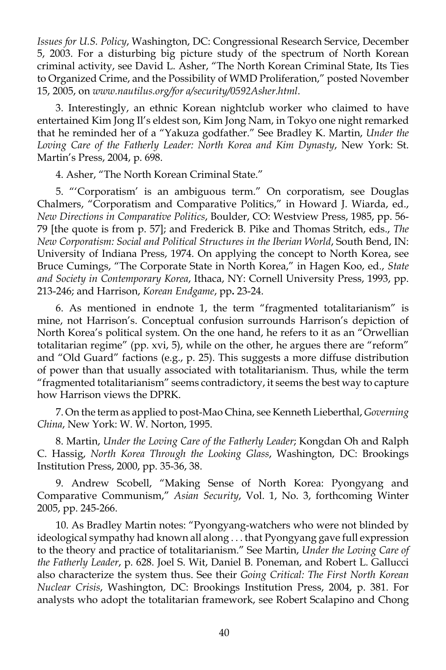*Issues for U.S. Policy*, Washington, DC: Congressional Research Service, December 5, 2003. For a disturbing big picture study of the spectrum of North Korean criminal activity, see David L. Asher, "The North Korean Criminal State, Its Ties to Organized Crime, and the Possibility of WMD Proliferation," posted November 15, 2005, on *www.nautilus.org/for a/security/0592Asher.html*.

3. Interestingly, an ethnic Korean nightclub worker who claimed to have entertained Kim Jong Il's eldest son, Kim Jong Nam, in Tokyo one night remarked that he reminded her of a "Yakuza godfather." See Bradley K. Martin, *Under the Loving Care of the Fatherly Leader: North Korea and Kim Dynasty*, New York: St. Martin's Press, 2004, p. 698.

4. Asher, "The North Korean Criminal State."

5. "'Corporatism' is an ambiguous term." On corporatism, see Douglas Chalmers, "Corporatism and Comparative Politics," in Howard J. Wiarda, ed., *New Directions in Comparative Politics*, Boulder, CO: Westview Press, 1985, pp. 56- 79 [the quote is from p. 57]; and Frederick B. Pike and Thomas Stritch, eds., *The New Corporatism: Social and Political Structures in the Iberian World*, South Bend, IN: University of Indiana Press, 1974. On applying the concept to North Korea, see Bruce Cumings, "The Corporate State in North Korea," in Hagen Koo, ed., *State and Society in Contemporary Korea*, Ithaca, NY: Cornell University Press, 1993, pp. 213-246; and Harrison, *Korean Endgame*, pp**.** 23-24.

6. As mentioned in endnote 1, the term "fragmented totalitarianism" is mine, not Harrison's. Conceptual confusion surrounds Harrison's depiction of North Korea's political system. On the one hand, he refers to it as an "Orwellian totalitarian regime" (pp. xvi, 5), while on the other, he argues there are "reform" and "Old Guard" factions (e.g., p. 25). This suggests a more diffuse distribution of power than that usually associated with totalitarianism. Thus, while the term "fragmented totalitarianism" seems contradictory, it seems the best way to capture how Harrison views the DPRK.

7. On the term as applied to post-Mao China, see Kenneth Lieberthal, *Governing China*, New York: W. W. Norton, 1995.

8. Martin, *Under the Loving Care of the Fatherly Leader*; Kongdan Oh and Ralph C. Hassig, *North Korea Through the Looking Glass*, Washington, DC: Brookings Institution Press, 2000, pp. 35-36, 38.

9. Andrew Scobell, "Making Sense of North Korea: Pyongyang and Comparative Communism," *Asian Security*, Vol. 1, No. 3, forthcoming Winter 2005, pp. 245-266.

10. As Bradley Martin notes: "Pyongyang-watchers who were not blinded by ideological sympathy had known all along . . . that Pyongyang gave full expression to the theory and practice of totalitarianism." See Martin, *Under the Loving Care of the Fatherly Leader*, p. 628. Joel S. Wit, Daniel B. Poneman, and Robert L. Gallucci also characterize the system thus. See their *Going Critical: The First North Korean Nuclear Crisis*, Washington, DC: Brookings Institution Press, 2004, p. 381. For analysts who adopt the totalitarian framework, see Robert Scalapino and Chong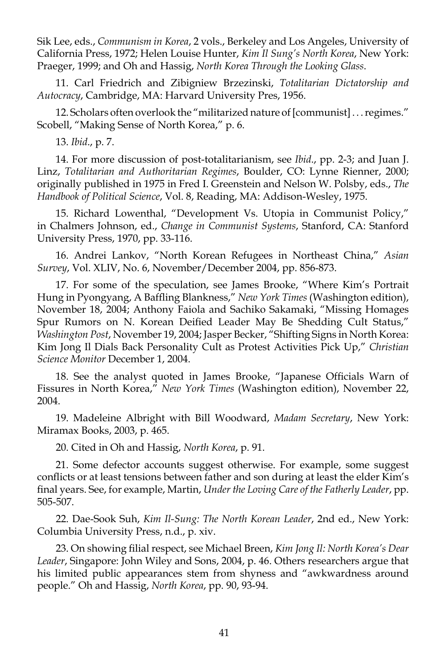Sik Lee, eds., *Communism in Korea*, 2 vols., Berkeley and Los Angeles, University of California Press, 1972; Helen Louise Hunter, *Kim Il Sung's North Korea*, New York: Praeger, 1999; and Oh and Hassig, *North Korea Through the Looking Glass*.

11. Carl Friedrich and Zibigniew Brzezinski, *Totalitarian Dictatorship and Autocracy*, Cambridge, MA: Harvard University Pres, 1956.

12. Scholars often overlook the "militarized nature of [communist] . . . regimes." Scobell, "Making Sense of North Korea," p. 6.

13. *Ibid*., p. 7.

14. For more discussion of post-totalitarianism, see *Ibid*., pp. 2-3; and Juan J. Linz, *Totalitarian and Authoritarian Regimes*, Boulder, CO: Lynne Rienner, 2000; originally published in 1975 in Fred I. Greenstein and Nelson W. Polsby, eds., *The Handbook of Political Science*, Vol. 8, Reading, MA: Addison-Wesley, 1975.

15. Richard Lowenthal, "Development Vs. Utopia in Communist Policy," in Chalmers Johnson, ed., *Change in Communist Systems*, Stanford, CA: Stanford University Press, 1970, pp. 33-116.

16. Andrei Lankov, "North Korean Refugees in Northeast China," *Asian Survey*, Vol. XLIV, No. 6, November/December 2004, pp. 856-873.

17. For some of the speculation, see James Brooke, "Where Kim's Portrait Hung in Pyongyang, A Baffling Blankness," *New York Times* (Washington edition), November 18, 2004; Anthony Faiola and Sachiko Sakamaki, "Missing Homages Spur Rumors on N. Korean Deified Leader May Be Shedding Cult Status," *Washington Post*, November 19, 2004; Jasper Becker, "Shifting Signs in North Korea: Kim Jong Il Dials Back Personality Cult as Protest Activities Pick Up," *Christian Science Monitor* December 1, 2004.

18. See the analyst quoted in James Brooke, "Japanese Officials Warn of Fissures in North Korea," *New York Times* (Washington edition), November 22, 2004.

19. Madeleine Albright with Bill Woodward, *Madam Secretary*, New York: Miramax Books, 2003, p. 465.

20. Cited in Oh and Hassig, *North Korea*, p. 91.

21. Some defector accounts suggest otherwise. For example, some suggest conflicts or at least tensions between father and son during at least the elder Kim's final years. See, for example, Martin, *Under the Loving Care of the Fatherly Leader*, pp. 505-507.

22. Dae-Sook Suh, *Kim Il-Sung: The North Korean Leader*, 2nd ed., New York: Columbia University Press, n.d., p. xiv.

23. On showing filial respect, see Michael Breen, *Kim Jong Il: North Korea's Dear Leader*, Singapore: John Wiley and Sons, 2004, p. 46. Others researchers argue that his limited public appearances stem from shyness and "awkwardness around people." Oh and Hassig, *North Korea*, pp. 90, 93-94.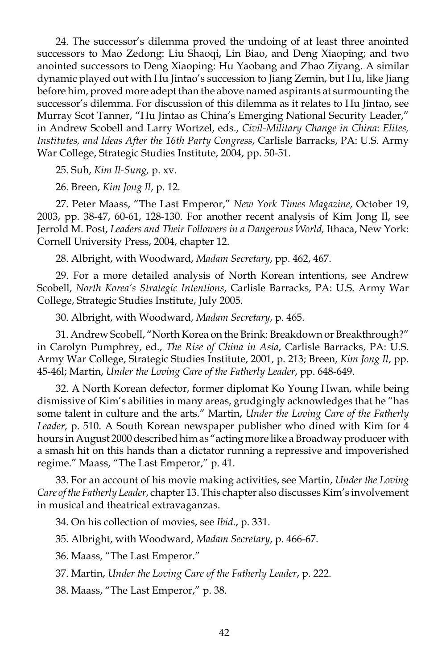24. The successor's dilemma proved the undoing of at least three anointed successors to Mao Zedong: Liu Shaoqi, Lin Biao, and Deng Xiaoping; and two anointed successors to Deng Xiaoping: Hu Yaobang and Zhao Ziyang. A similar dynamic played out with Hu Jintao's succession to Jiang Zemin, but Hu, like Jiang before him, proved more adept than the above named aspirants at surmounting the successor's dilemma. For discussion of this dilemma as it relates to Hu Jintao, see Murray Scot Tanner, "Hu Jintao as China's Emerging National Security Leader," in Andrew Scobell and Larry Wortzel, eds., *Civil-Military Change in China*: *Elites, Institutes, and Ideas After the 16th Party Congress*, Carlisle Barracks, PA: U.S. Army War College, Strategic Studies Institute, 2004, pp. 50-51.

25. Suh, *Kim Il-Sung,* p. xv.

26. Breen, *Kim Jong Il*, p. 12.

27. Peter Maass, "The Last Emperor," *New York Times Magazine*, October 19, 2003, pp. 38-47, 60-61, 128-130. For another recent analysis of Kim Jong Il, see Jerrold M. Post, *Leaders and Their Followers in a Dangerous World,* Ithaca, New York: Cornell University Press, 2004, chapter 12.

28. Albright, with Woodward, *Madam Secretary*, pp. 462, 467.

29. For a more detailed analysis of North Korean intentions, see Andrew Scobell, *North Korea's Strategic Intentions*, Carlisle Barracks, PA: U.S. Army War College, Strategic Studies Institute, July 2005.

30. Albright, with Woodward, *Madam Secretary*, p. 465.

31. Andrew Scobell, "North Korea on the Brink: Breakdown or Breakthrough?" in Carolyn Pumphrey, ed., *The Rise of China in Asia*, Carlisle Barracks, PA: U.S. Army War College, Strategic Studies Institute, 2001, p. 213; Breen, *Kim Jong Il*, pp. 45-46l; Martin, *Under the Loving Care of the Fatherly Leader*, pp. 648-649.

32. A North Korean defector, former diplomat Ko Young Hwan, while being dismissive of Kim's abilities in many areas, grudgingly acknowledges that he "has some talent in culture and the arts." Martin, *Under the Loving Care of the Fatherly Leader*, p. 510. A South Korean newspaper publisher who dined with Kim for 4 hours in August 2000 described him as "acting more like a Broadway producer with a smash hit on this hands than a dictator running a repressive and impoverished regime." Maass, "The Last Emperor," p. 41.

33. For an account of his movie making activities, see Martin, *Under the Loving Care of the Fatherly Leader*, chapter 13. This chapter also discusses Kim's involvement in musical and theatrical extravaganzas.

34. On his collection of movies, see *Ibid*., p. 331.

35. Albright, with Woodward, *Madam Secretary*, p. 466-67.

36. Maass, "The Last Emperor."

37. Martin, *Under the Loving Care of the Fatherly Leader*, p. 222.

38. Maass, "The Last Emperor," p. 38.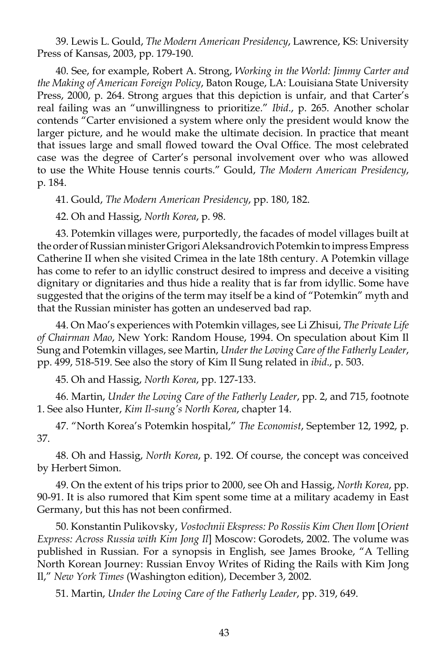39. Lewis L. Gould, *The Modern American Presidency*, Lawrence, KS: University Press of Kansas, 2003, pp. 179-190.

40. See, for example, Robert A. Strong, *Working in the World: Jimmy Carter and the Making of American Foreign Policy*, Baton Rouge, LA: Louisiana State University Press, 2000, p. 264. Strong argues that this depiction is unfair, and that Carter's real failing was an "unwillingness to prioritize." *Ibid*., p. 265. Another scholar contends "Carter envisioned a system where only the president would know the larger picture, and he would make the ultimate decision. In practice that meant that issues large and small flowed toward the Oval Office. The most celebrated case was the degree of Carter's personal involvement over who was allowed to use the White House tennis courts." Gould, *The Modern American Presidency*, p. 184.

41. Gould, *The Modern American Presidency*, pp. 180, 182.

42. Oh and Hassig, *North Korea*, p. 98.

43. Potemkin villages were, purportedly, the facades of model villages built at the order of Russian minister Grigori Aleksandrovich Potemkin to impress Empress Catherine II when she visited Crimea in the late 18th century. A Potemkin village has come to refer to an idyllic construct desired to impress and deceive a visiting dignitary or dignitaries and thus hide a reality that is far from idyllic. Some have suggested that the origins of the term may itself be a kind of "Potemkin" myth and that the Russian minister has gotten an undeserved bad rap.

44. On Mao's experiences with Potemkin villages, see Li Zhisui, *The Private Life of Chairman Mao*, New York: Random House, 1994. On speculation about Kim Il Sung and Potemkin villages, see Martin, *Under the Loving Care of the Fatherly Leader*, pp. 499, 518-519. See also the story of Kim Il Sung related in *ibid*., p. 503.

45. Oh and Hassig, *North Korea*, pp. 127-133.

46. Martin, *Under the Loving Care of the Fatherly Leader*, pp. 2, and 715, footnote 1. See also Hunter, *Kim Il-sung's North Korea*, chapter 14.

47. "North Korea's Potemkin hospital," *The Economist*, September 12, 1992, p. 37.

48. Oh and Hassig, *North Korea*, p. 192. Of course, the concept was conceived by Herbert Simon.

49. On the extent of his trips prior to 2000, see Oh and Hassig, *North Korea*, pp. 90-91. It is also rumored that Kim spent some time at a military academy in East Germany, but this has not been confirmed.

50. Konstantin Pulikovsky, *Vostochnii Ekspress: Po Rossiis Kim Chen Ilom* [*Orient Express: Across Russia with Kim Jong Il*] Moscow: Gorodets, 2002. The volume was published in Russian. For a synopsis in English, see James Brooke, "A Telling North Korean Journey: Russian Envoy Writes of Riding the Rails with Kim Jong Il," *New York Times* (Washington edition), December 3, 2002.

51. Martin, *Under the Loving Care of the Fatherly Leader*, pp. 319, 649.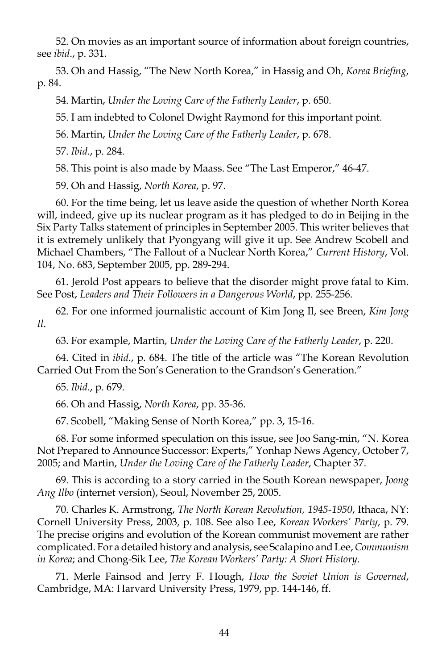52. On movies as an important source of information about foreign countries, see *ibid*., p. 331.

53. Oh and Hassig, "The New North Korea," in Hassig and Oh, *Korea Briefing*, p. 84.

54. Martin, *Under the Loving Care of the Fatherly Leader*, p. 650.

55. I am indebted to Colonel Dwight Raymond for this important point.

56. Martin, *Under the Loving Care of the Fatherly Leader*, p. 678.

57. *Ibid*., p. 284.

58. This point is also made by Maass. See "The Last Emperor," 46-47.

59. Oh and Hassig, *North Korea*, p. 97.

60. For the time being, let us leave aside the question of whether North Korea will, indeed, give up its nuclear program as it has pledged to do in Beijing in the Six Party Talks statement of principles in September 2005. This writer believes that it is extremely unlikely that Pyongyang will give it up. See Andrew Scobell and Michael Chambers, "The Fallout of a Nuclear North Korea," *Current History*, Vol. 104, No. 683, September 2005, pp. 289-294.

61. Jerold Post appears to believe that the disorder might prove fatal to Kim. See Post, *Leaders and Their Followers in a Dangerous World*, pp. 255-256.

62. For one informed journalistic account of Kim Jong Il, see Breen, *Kim Jong Il*.

63. For example, Martin, *Under the Loving Care of the Fatherly Leader*, p. 220.

64. Cited in *ibid*., p. 684. The title of the article was "The Korean Revolution Carried Out From the Son's Generation to the Grandson's Generation."

65. *Ibid*., p. 679.

66. Oh and Hassig, *North Korea*, pp. 35-36.

67. Scobell, "Making Sense of North Korea," pp. 3, 15-16.

68. For some informed speculation on this issue, see Joo Sang-min, "N. Korea Not Prepared to Announce Successor: Experts," Yonhap News Agency, October 7, 2005; and Martin, *Under the Loving Care of the Fatherly Leader*, Chapter 37.

69. This is according to a story carried in the South Korean newspaper, *Joong Ang Ilbo* (internet version), Seoul, November 25, 2005.

70. Charles K. Armstrong, *The North Korean Revolution, 1945-1950*, Ithaca, NY: Cornell University Press, 2003, p. 108. See also Lee, *Korean Workers' Party*, p. 79. The precise origins and evolution of the Korean communist movement are rather complicated. For a detailed history and analysis, see Scalapino and Lee, *Communism in Korea*; and Chong-Sik Lee, *The Korean Workers' Party: A Short History*.

71. Merle Fainsod and Jerry F. Hough, *How the Soviet Union is Governed*, Cambridge, MA: Harvard University Press, 1979, pp. 144-146, ff.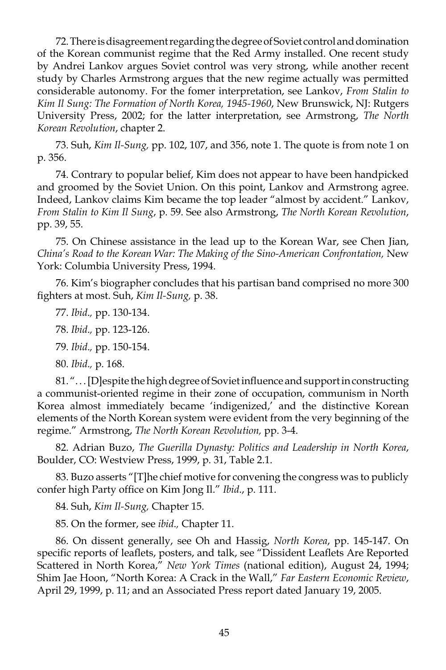72. There is disagreement regarding the degree of Soviet control and domination of the Korean communist regime that the Red Army installed. One recent study by Andrei Lankov argues Soviet control was very strong, while another recent study by Charles Armstrong argues that the new regime actually was permitted considerable autonomy. For the fomer interpretation, see Lankov, *From Stalin to Kim Il Sung: The Formation of North Korea, 1945-1960*, New Brunswick, NJ: Rutgers University Press, 2002; for the latter interpretation, see Armstrong, *The North Korean Revolution*, chapter 2.

73. Suh, *Kim Il-Sung,* pp. 102, 107, and 356, note 1. The quote is from note 1 on p. 356.

74. Contrary to popular belief, Kim does not appear to have been handpicked and groomed by the Soviet Union. On this point, Lankov and Armstrong agree. Indeed, Lankov claims Kim became the top leader "almost by accident." Lankov, *From Stalin to Kim Il Sung*, p. 59. See also Armstrong, *The North Korean Revolution*, pp. 39, 55.

75. On Chinese assistance in the lead up to the Korean War, see Chen Jian, *China's Road to the Korean War: The Making of the Sino-American Confrontation,* New York: Columbia University Press, 1994.

76. Kim's biographer concludes that his partisan band comprised no more 300 fighters at most. Suh, *Kim Il-Sung,* p. 38.

77. *Ibid*.*,* pp. 130-134.

78. *Ibid*.*,* pp. 123-126.

79. *Ibid*.*,* pp. 150-154.

80. *Ibid*.*,* p. 168.

81. ". . . [D]espite the high degree of Soviet influence and support in constructing a communist-oriented regime in their zone of occupation, communism in North Korea almost immediately became 'indigenized,' and the distinctive Korean elements of the North Korean system were evident from the very beginning of the regime." Armstrong, *The North Korean Revolution,* pp. 3-4.

82. Adrian Buzo, *The Guerilla Dynasty: Politics and Leadership in North Korea*, Boulder, CO: Westview Press, 1999, p. 31, Table 2.1.

83. Buzo asserts "[T]he chief motive for convening the congress was to publicly confer high Party office on Kim Jong Il." *Ibid*., p. 111.

84. Suh, *Kim Il-Sung,* Chapter 15.

85. On the former, see *ibid*.*,* Chapter 11.

86. On dissent generally, see Oh and Hassig, *North Korea*, pp. 145-147. On specific reports of leaflets, posters, and talk, see "Dissident Leaflets Are Reported Scattered in North Korea," *New York Times* (national edition), August 24, 1994; Shim Jae Hoon, "North Korea: A Crack in the Wall," *Far Eastern Economic Review*, April 29, 1999, p. 11; and an Associated Press report dated January 19, 2005.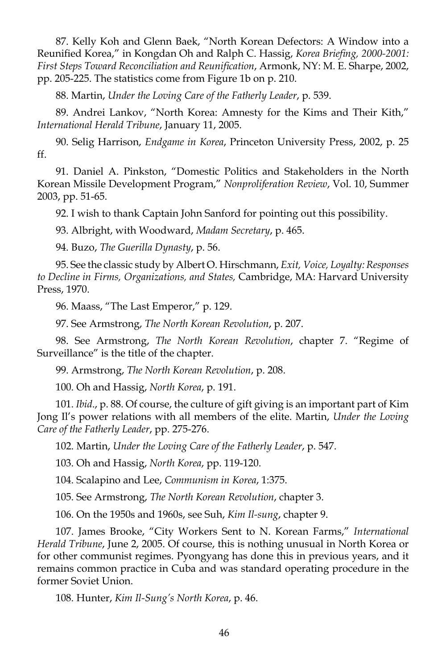87. Kelly Koh and Glenn Baek, "North Korean Defectors: A Window into a Reunified Korea," in Kongdan Oh and Ralph C. Hassig, *Korea Briefing, 2000-2001: First Steps Toward Reconciliation and Reunification*, Armonk, NY: M. E. Sharpe, 2002, pp. 205-225. The statistics come from Figure 1b on p. 210.

88. Martin, *Under the Loving Care of the Fatherly Leader*, p. 539.

89. Andrei Lankov, "North Korea: Amnesty for the Kims and Their Kith," *International Herald Tribune*, January 11, 2005.

90. Selig Harrison, *Endgame in Korea*, Princeton University Press, 2002, p. 25 ff.

91. Daniel A. Pinkston, "Domestic Politics and Stakeholders in the North Korean Missile Development Program," *Nonproliferation Review*, Vol. 10, Summer 2003, pp. 51-65.

92. I wish to thank Captain John Sanford for pointing out this possibility.

93. Albright, with Woodward, *Madam Secretary*, p. 465.

94. Buzo, *The Guerilla Dynasty*, p. 56.

95. See the classic study by Albert O. Hirschmann, *Exit, Voice, Loyalty: Responses to Decline in Firms, Organizations, and States,* Cambridge, MA: Harvard University Press, 1970.

96. Maass, "The Last Emperor," p. 129.

97. See Armstrong, *The North Korean Revolution*, p. 207.

98. See Armstrong, *The North Korean Revolution*, chapter 7. "Regime of Surveillance" is the title of the chapter.

99. Armstrong, *The North Korean Revolution*, p. 208.

100. Oh and Hassig, *North Korea*, p. 191.

101. *Ibid*., p. 88. Of course, the culture of gift giving is an important part of Kim Jong Il's power relations with all members of the elite. Martin, *Under the Loving Care of the Fatherly Leader*, pp. 275-276.

102. Martin, *Under the Loving Care of the Fatherly Leader*, p. 547.

103. Oh and Hassig, *North Korea*, pp. 119-120.

104. Scalapino and Lee, *Communism in Korea*, 1:375.

105. See Armstrong, *The North Korean Revolution*, chapter 3.

106. On the 1950s and 1960s, see Suh, *Kim Il-sung*, chapter 9.

107. James Brooke, "City Workers Sent to N. Korean Farms," *International Herald Tribune*, June 2, 2005. Of course, this is nothing unusual in North Korea or for other communist regimes. Pyongyang has done this in previous years, and it remains common practice in Cuba and was standard operating procedure in the former Soviet Union.

108. Hunter, *Kim Il-Sung's North Korea*, p. 46.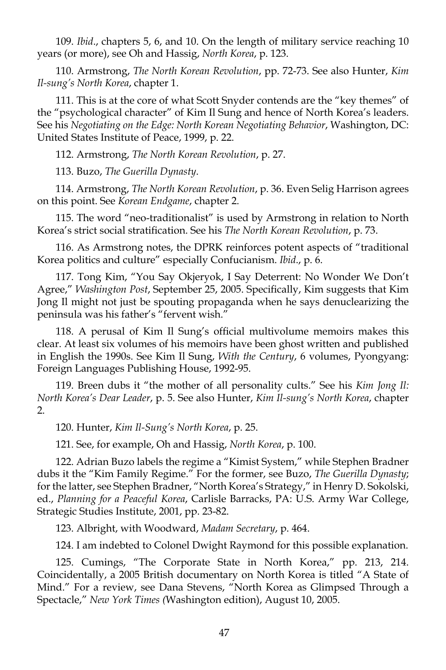109. *Ibid*., chapters 5, 6, and 10. On the length of military service reaching 10 years (or more), see Oh and Hassig, *North Korea*, p. 123.

110. Armstrong, *The North Korean Revolution*, pp. 72-73. See also Hunter, *Kim Il-sung's North Korea*, chapter 1.

111. This is at the core of what Scott Snyder contends are the "key themes" of the "psychological character" of Kim Il Sung and hence of North Korea's leaders. See his *Negotiating on the Edge: North Korean Negotiating Behavior*, Washington, DC: United States Institute of Peace, 1999, p. 22.

112. Armstrong, *The North Korean Revolution*, p. 27.

113. Buzo, *The Guerilla Dynasty*.

114. Armstrong, *The North Korean Revolution*, p. 36. Even Selig Harrison agrees on this point. See *Korean Endgame*, chapter 2.

115. The word "neo-traditionalist" is used by Armstrong in relation to North Korea's strict social stratification. See his *The North Korean Revolution*, p. 73.

116. As Armstrong notes, the DPRK reinforces potent aspects of "traditional Korea politics and culture" especially Confucianism. *Ibid*., p. 6.

117. Tong Kim, "You Say Okjeryok, I Say Deterrent: No Wonder We Don't Agree," *Washington Post*, September 25, 2005. Specifically, Kim suggests that Kim Jong Il might not just be spouting propaganda when he says denuclearizing the peninsula was his father's "fervent wish."

118. A perusal of Kim Il Sung's official multivolume memoirs makes this clear. At least six volumes of his memoirs have been ghost written and published in English the 1990s. See Kim Il Sung, *With the Century*, 6 volumes, Pyongyang: Foreign Languages Publishing House, 1992-95.

119. Breen dubs it "the mother of all personality cults." See his *Kim Jong Il: North Korea's Dear Leader*, p. 5. See also Hunter, *Kim Il-sung's North Korea*, chapter 2.

120. Hunter, *Kim Il-Sung's North Korea*, p. 25.

121. See, for example, Oh and Hassig, *North Korea*, p. 100.

122. Adrian Buzo labels the regime a "Kimist System," while Stephen Bradner dubs it the "Kim Family Regime." For the former, see Buzo, *The Guerilla Dynasty*; for the latter, see Stephen Bradner, "North Korea's Strategy," in Henry D. Sokolski, ed., *Planning for a Peaceful Korea*, Carlisle Barracks, PA: U.S. Army War College, Strategic Studies Institute, 2001, pp. 23-82.

123. Albright, with Woodward, *Madam Secretary*, p. 464.

124. I am indebted to Colonel Dwight Raymond for this possible explanation.

125. Cumings, "The Corporate State in North Korea," pp. 213, 214. Coincidentally, a 2005 British documentary on North Korea is titled "A State of Mind." For a review, see Dana Stevens, "North Korea as Glimpsed Through a Spectacle," *New York Times (*Washington edition), August 10, 2005.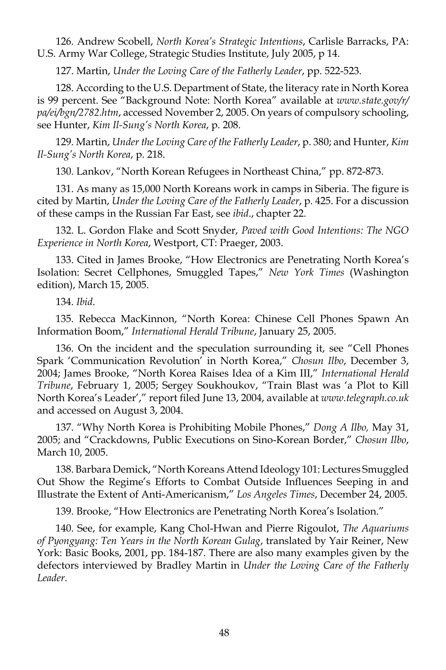126. Andrew Scobell, *North Korea's Strategic Intentions*, Carlisle Barracks, PA: U.S. Army War College, Strategic Studies Institute, July 2005, p 14.

127. Martin, *Under the Loving Care of the Fatherly Leader*, pp. 522-523.

128. According to the U.S. Department of State, the literacy rate in North Korea is 99 percent. See "Background Note: North Korea" available at *www.state.gov/r/ pa/ei/bgn/2782.htm*, accessed November 2, 2005. On years of compulsory schooling, see Hunter, *Kim Il-Sung's North Korea*, p. 208.

129. Martin, *Under the Loving Care of the Fatherly Leader*, p. 380; and Hunter, *Kim Il-Sung's North Korea*, p. 218.

130. Lankov, "North Korean Refugees in Northeast China," pp. 872-873.

131. As many as 15,000 North Koreans work in camps in Siberia. The figure is cited by Martin, *Under the Loving Care of the Fatherly Leader*, p. 425. For a discussion of these camps in the Russian Far East, see *ibid*., chapter 22.

132. L. Gordon Flake and Scott Snyder, *Paved with Good Intentions: The NGO Experience in North Korea*, Westport, CT: Praeger, 2003.

133. Cited in James Brooke, "How Electronics are Penetrating North Korea's Isolation: Secret Cellphones, Smuggled Tapes," *New York Times* (Washington edition), March 15, 2005.

134. *Ibid*.

135. Rebecca MacKinnon, "North Korea: Chinese Cell Phones Spawn An Information Boom," *International Herald Tribune*, January 25, 2005.

136. On the incident and the speculation surrounding it, see "Cell Phones Spark 'Communication Revolution' in North Korea," *Chosun Ilbo*, December 3, 2004; James Brooke, "North Korea Raises Idea of a Kim III," *International Herald Tribune*, February 1, 2005; Sergey Soukhoukov, "Train Blast was 'a Plot to Kill North Korea's Leader'," report filed June 13, 2004, available at *www.telegraph.co.uk* and accessed on August 3, 2004.

137. "Why North Korea is Prohibiting Mobile Phones," *Dong A Ilbo,* May 31, 2005; and "Crackdowns, Public Executions on Sino-Korean Border," *Chosun Ilbo*, March 10, 2005.

138. Barbara Demick, "North Koreans Attend Ideology 101: Lectures Smuggled Out Show the Regime's Efforts to Combat Outside Influences Seeping in and Illustrate the Extent of Anti-Americanism," *Los Angeles Times*, December 24, 2005.

139. Brooke, "How Electronics are Penetrating North Korea's Isolation."

140. See, for example, Kang Chol-Hwan and Pierre Rigoulot, *The Aquariums of Pyongyang: Ten Years in the North Korean Gulag*, translated by Yair Reiner, New York: Basic Books, 2001, pp. 184-187. There are also many examples given by the defectors interviewed by Bradley Martin in *Under the Loving Care of the Fatherly Leader*.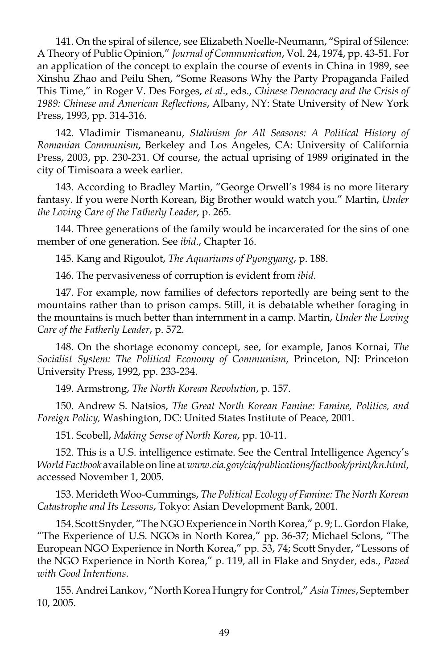141. On the spiral of silence, see Elizabeth Noelle-Neumann, "Spiral of Silence: A Theory of Public Opinion," *Journal of Communication*, Vol. 24, 1974, pp. 43-51. For an application of the concept to explain the course of events in China in 1989, see Xinshu Zhao and Peilu Shen, "Some Reasons Why the Party Propaganda Failed This Time," in Roger V. Des Forges, *et al*., eds., *Chinese Democracy and the Crisis of 1989: Chinese and American Reflections*, Albany, NY: State University of New York Press, 1993, pp. 314-316.

142. Vladimir Tismaneanu, *Stalinism for All Seasons: A Political History of Romanian Communism*, Berkeley and Los Angeles, CA: University of California Press, 2003, pp. 230-231. Of course, the actual uprising of 1989 originated in the city of Timisoara a week earlier.

143. According to Bradley Martin, "George Orwell's 1984 is no more literary fantasy. If you were North Korean, Big Brother would watch you." Martin, *Under the Loving Care of the Fatherly Leader*, p. 265.

144. Three generations of the family would be incarcerated for the sins of one member of one generation. See *ibid*., Chapter 16.

145. Kang and Rigoulot, *The Aquariums of Pyongyang*, p. 188.

146. The pervasiveness of corruption is evident from *ibid*.

147. For example, now families of defectors reportedly are being sent to the mountains rather than to prison camps. Still, it is debatable whether foraging in the mountains is much better than internment in a camp. Martin, *Under the Loving Care of the Fatherly Leader*, p. 572.

148. On the shortage economy concept, see, for example, Janos Kornai, *The Socialist System: The Political Economy of Communism*, Princeton, NJ: Princeton University Press, 1992, pp. 233-234.

149. Armstrong, *The North Korean Revolution*, p. 157.

150. Andrew S. Natsios, *The Great North Korean Famine: Famine, Politics, and Foreign Policy,* Washington, DC: United States Institute of Peace, 2001.

151. Scobell, *Making Sense of North Korea*, pp. 10-11.

152. This is a U.S. intelligence estimate. See the Central Intelligence Agency's *World Factbook* available on line at *www.cia.gov/cia/publications/factbook/print/kn.html*, accessed November 1, 2005.

153. Merideth Woo-Cummings, *The Political Ecology of Famine: The North Korean Catastrophe and Its Lessons*, Tokyo: Asian Development Bank, 2001.

154. Scott Snyder, "The NGO Experience in North Korea," p. 9; L. Gordon Flake, "The Experience of U.S. NGOs in North Korea," pp. 36-37; Michael Sclons, "The European NGO Experience in North Korea," pp. 53, 74; Scott Snyder, "Lessons of the NGO Experience in North Korea," p. 119, all in Flake and Snyder, eds., *Paved with Good Intentions*.

155. Andrei Lankov, "North Korea Hungry for Control," *Asia Times*, September 10, 2005.